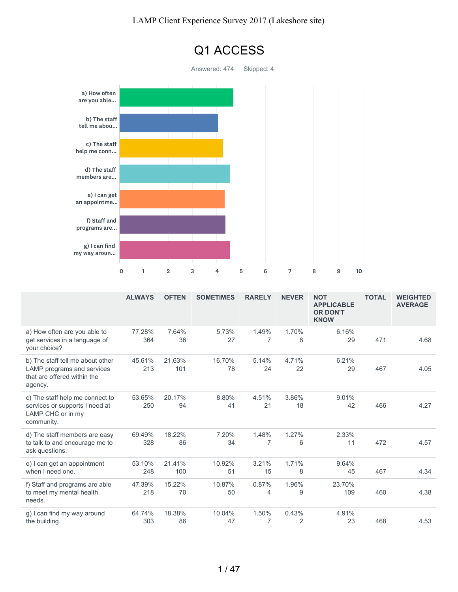

|                                                                                                          | <b>ALWAYS</b> | <b>OFTEN</b>  | <b>SOMETIMES</b> | <b>RARELY</b>           | <b>NEVER</b>            | <b>NOT</b><br><b>APPLICABLE</b><br><b>OR DON'T</b><br><b>KNOW</b> | <b>TOTAL</b> | <b>WEIGHTED</b><br><b>AVERAGE</b> |
|----------------------------------------------------------------------------------------------------------|---------------|---------------|------------------|-------------------------|-------------------------|-------------------------------------------------------------------|--------------|-----------------------------------|
| a) How often are you able to<br>get services in a language of<br>your choice?                            | 77.28%<br>364 | 7.64%<br>36   | 5.73%<br>27      | 1.49%<br>7              | 1.70%<br>8              | 6.16%<br>29                                                       | 471          | 4.68                              |
| b) The staff tell me about other<br>LAMP programs and services<br>that are offered within the<br>agency. | 45.61%<br>213 | 21.63%<br>101 | 16.70%<br>78     | 5.14%<br>24             | 4.71%<br>22             | 6.21%<br>29                                                       | 467          | 4.05                              |
| c) The staff help me connect to<br>services or supports I need at<br>LAMP CHC or in my<br>community.     | 53.65%<br>250 | 20.17%<br>94  | 8.80%<br>41      | 4.51%<br>21             | 3.86%<br>18             | 9.01%<br>42                                                       | 466          | 4.27                              |
| d) The staff members are easy<br>to talk to and encourage me to<br>ask questions.                        | 69.49%<br>328 | 18.22%<br>86  | 7.20%<br>34      | 1.48%<br>$\overline{7}$ | 1.27%<br>6              | 2.33%<br>11                                                       | 472          | 4.57                              |
| e) I can get an appointment<br>when I need one.                                                          | 53.10%<br>248 | 21.41%<br>100 | 10.92%<br>51     | 3.21%<br>15             | 1.71%<br>8              | 9.64%<br>45                                                       | 467          | 4.34                              |
| f) Staff and programs are able<br>to meet my mental health<br>needs.                                     | 47.39%<br>218 | 15.22%<br>70  | 10.87%<br>50     | 0.87%<br>4              | 1.96%<br>9              | 23.70%<br>109                                                     | 460          | 4.38                              |
| g) I can find my way around<br>the building.                                                             | 64.74%<br>303 | 18.38%<br>86  | 10.04%<br>47     | 1.50%<br>7              | 0.43%<br>$\overline{2}$ | 4.91%<br>23                                                       | 468          | 4.53                              |

### 1 / 47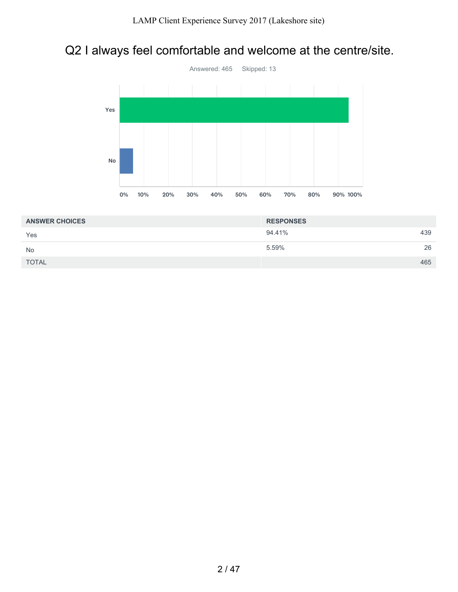## Q2 I always feel comfortable and welcome at the centre/site.



| <b>ANSWER CHOICES</b> | <b>RESPONSES</b> |     |
|-----------------------|------------------|-----|
| Yes                   | 94.41%           | 439 |
| No                    | 5.59%            | 26  |
| <b>TOTAL</b>          |                  | 465 |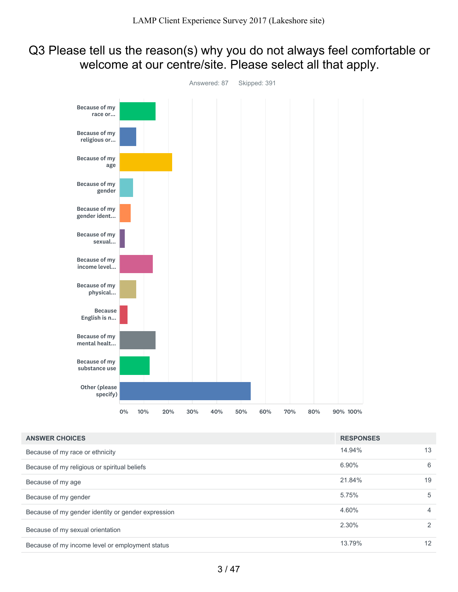## Q3 Please tell us the reason(s) why you do not always feel comfortable or welcome at our centre/site. Please select all that apply.



| <b>ANSWER CHOICES</b>                              | <b>RESPONSES</b> |                |
|----------------------------------------------------|------------------|----------------|
| Because of my race or ethnicity                    | 14.94%           | 13             |
| Because of my religious or spiritual beliefs       | 6.90%            | 6              |
| Because of my age                                  | 21.84%           | 19             |
| Because of my gender                               | 5.75%            | 5              |
| Because of my gender identity or gender expression | 4.60%            | $\overline{4}$ |
| Because of my sexual orientation                   | 2.30%            | 2              |
| Because of my income level or employment status    | 13.79%           | 12             |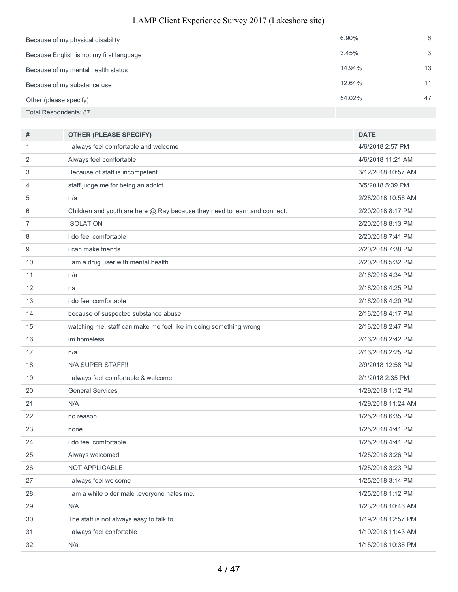| Because of my physical disability        | $6.90\%$ | 6  |
|------------------------------------------|----------|----|
| Because English is not my first language | 3.45%    | 3  |
| Because of my mental health status       | 14.94%   | 13 |
| Because of my substance use              | 12.64%   |    |
| Other (please specify)                   | 54.02%   | 47 |
| <b>Total Respondents: 87</b>             |          |    |

| #  | <b>OTHER (PLEASE SPECIFY)</b>                                             | <b>DATE</b>        |
|----|---------------------------------------------------------------------------|--------------------|
| 1  | I always feel comfortable and welcome                                     | 4/6/2018 2:57 PM   |
| 2  | Always feel comfortable                                                   | 4/6/2018 11:21 AM  |
| 3  | Because of staff is incompetent                                           | 3/12/2018 10:57 AM |
| 4  | staff judge me for being an addict                                        | 3/5/2018 5:39 PM   |
| 5  | n/a                                                                       | 2/28/2018 10:56 AM |
| 6  | Children and youth are here @ Ray because they need to learn and connect. | 2/20/2018 8:17 PM  |
| 7  | <b>ISOLATION</b>                                                          | 2/20/2018 8:13 PM  |
| 8  | i do feel comfortable                                                     | 2/20/2018 7:41 PM  |
| 9  | <i>i</i> can make friends                                                 | 2/20/2018 7:38 PM  |
| 10 | I am a drug user with mental health                                       | 2/20/2018 5:32 PM  |
| 11 | n/a                                                                       | 2/16/2018 4:34 PM  |
| 12 | na                                                                        | 2/16/2018 4:25 PM  |
| 13 | i do feel comfortable                                                     | 2/16/2018 4:20 PM  |
| 14 | because of suspected substance abuse                                      | 2/16/2018 4:17 PM  |
| 15 | watching me. staff can make me feel like im doing something wrong         | 2/16/2018 2:47 PM  |
| 16 | im homeless                                                               | 2/16/2018 2:42 PM  |
| 17 | n/a                                                                       | 2/16/2018 2:25 PM  |
| 18 | N/A SUPER STAFF!!                                                         | 2/9/2018 12:58 PM  |
| 19 | I always feel comfortable & welcome                                       | 2/1/2018 2:35 PM   |
| 20 | <b>General Services</b>                                                   | 1/29/2018 1:12 PM  |
| 21 | N/A                                                                       | 1/29/2018 11:24 AM |
| 22 | no reason                                                                 | 1/25/2018 6:35 PM  |
| 23 | none                                                                      | 1/25/2018 4:41 PM  |
| 24 | i do feel comfortable                                                     | 1/25/2018 4:41 PM  |
| 25 | Always welcomed                                                           | 1/25/2018 3:26 PM  |
| 26 | NOT APPLICABLE                                                            | 1/25/2018 3:23 PM  |
| 27 | I always feel welcome                                                     | 1/25/2018 3:14 PM  |
| 28 | I am a white older male , everyone hates me.                              | 1/25/2018 1:12 PM  |
| 29 | N/A                                                                       | 1/23/2018 10:46 AM |
| 30 | The staff is not always easy to talk to                                   | 1/19/2018 12:57 PM |
| 31 | I always feel confortable                                                 | 1/19/2018 11:43 AM |
| 32 | N/a                                                                       | 1/15/2018 10:36 PM |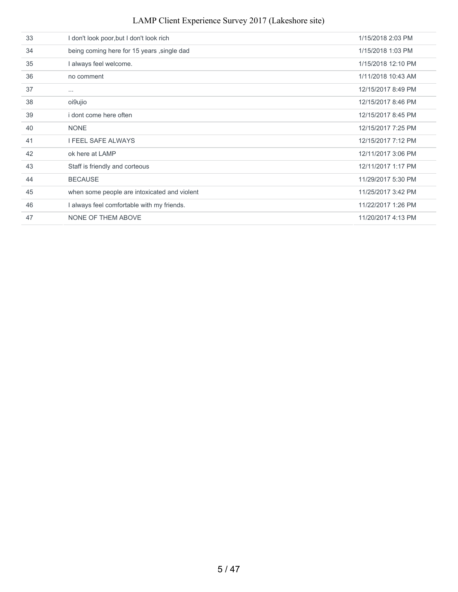### I don't look poor,but I don't look rich 1/15/2018 2:03 PM being coming here for 15 years ,single dad 1/15/2018 1:03 PM I always feel welcome. 1/15/2018 12:10 PM no comment 1/11/2018 10:43 AM ... 12/15/2017 8:49 PM oi9ujio 12/15/2017 8:46 PM i dont come here often 12/15/2017 8:45 PM NONE 12/15/2017 7:25 PM I FEEL SAFE ALWAYS 12/15/2017 7:12 PM 42 ok here at LAMP 12/11/2017 3:06 PM Staff is friendly and corteous 12/11/2017 1:17 PM LAMP Client Experience Survey 2017 (Lakeshore site)

 BECAUSE 11/29/2017 5:30 PM when some people are intoxicated and violent 11/25/2017 3:42 PM I always feel comfortable with my friends. 11/22/2017 1:26 PM NONE OF THEM ABOVE 11/20/2017 4:13 PM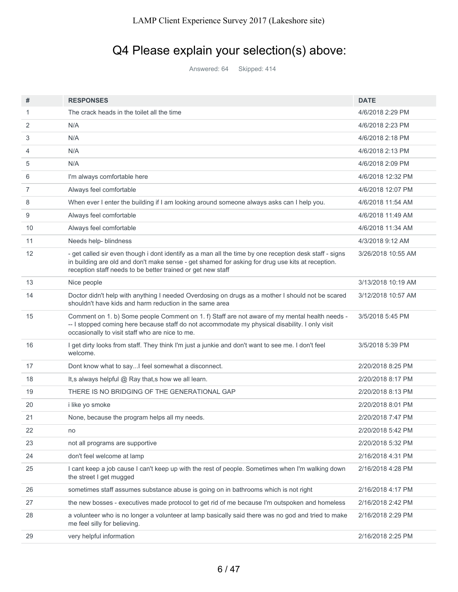# Q4 Please explain your selection(s) above:

Answered: 64 Skipped: 414

| #  | <b>RESPONSES</b>                                                                                                                                                                                                                                                          | <b>DATE</b>        |
|----|---------------------------------------------------------------------------------------------------------------------------------------------------------------------------------------------------------------------------------------------------------------------------|--------------------|
| 1  | The crack heads in the toilet all the time                                                                                                                                                                                                                                | 4/6/2018 2:29 PM   |
| 2  | N/A                                                                                                                                                                                                                                                                       | 4/6/2018 2:23 PM   |
| 3  | N/A                                                                                                                                                                                                                                                                       | 4/6/2018 2:18 PM   |
| 4  | N/A                                                                                                                                                                                                                                                                       | 4/6/2018 2:13 PM   |
| 5  | N/A                                                                                                                                                                                                                                                                       | 4/6/2018 2:09 PM   |
| 6  | I'm always comfortable here                                                                                                                                                                                                                                               | 4/6/2018 12:32 PM  |
| 7  | Always feel comfortable                                                                                                                                                                                                                                                   | 4/6/2018 12:07 PM  |
| 8  | When ever I enter the building if I am looking around someone always asks can I help you.                                                                                                                                                                                 | 4/6/2018 11:54 AM  |
| 9  | Always feel comfortable                                                                                                                                                                                                                                                   | 4/6/2018 11:49 AM  |
| 10 | Always feel comfortable                                                                                                                                                                                                                                                   | 4/6/2018 11:34 AM  |
| 11 | Needs help- blindness                                                                                                                                                                                                                                                     | 4/3/2018 9:12 AM   |
| 12 | - get called sir even though i dont identify as a man all the time by one reception desk staff - signs<br>in building are old and don't make sense - get shamed for asking for drug use kits at reception.<br>reception staff needs to be better trained or get new staff | 3/26/2018 10:55 AM |
| 13 | Nice people                                                                                                                                                                                                                                                               | 3/13/2018 10:19 AM |
| 14 | Doctor didn't help with anything I needed Overdosing on drugs as a mother I should not be scared<br>shouldn't have kids and harm reduction in the same area                                                                                                               | 3/12/2018 10:57 AM |
| 15 | Comment on 1. b) Some people Comment on 1. f) Staff are not aware of my mental health needs -<br>-- I stopped coming here because staff do not accommodate my physical disability. I only visit<br>occasionally to visit staff who are nice to me.                        | 3/5/2018 5:45 PM   |
| 16 | I get dirty looks from staff. They think I'm just a junkie and don't want to see me. I don't feel<br>welcome.                                                                                                                                                             | 3/5/2018 5:39 PM   |
| 17 | Dont know what to sayI feel somewhat a disconnect.                                                                                                                                                                                                                        | 2/20/2018 8:25 PM  |
| 18 | It, s always helpful $@$ Ray that, s how we all learn.                                                                                                                                                                                                                    | 2/20/2018 8:17 PM  |
| 19 | THERE IS NO BRIDGING OF THE GENERATIONAL GAP                                                                                                                                                                                                                              | 2/20/2018 8:13 PM  |
| 20 | i like yo smoke                                                                                                                                                                                                                                                           | 2/20/2018 8:01 PM  |
| 21 | None, because the program helps all my needs.                                                                                                                                                                                                                             | 2/20/2018 7:47 PM  |
| 22 | no                                                                                                                                                                                                                                                                        | 2/20/2018 5:42 PM  |
| 23 | not all programs are supportive                                                                                                                                                                                                                                           | 2/20/2018 5:32 PM  |
| 24 | don't feel welcome at lamp                                                                                                                                                                                                                                                | 2/16/2018 4:31 PM  |
| 25 | I cant keep a job cause I can't keep up with the rest of people. Sometimes when I'm walking down<br>the street I get mugged                                                                                                                                               | 2/16/2018 4:28 PM  |
| 26 | sometimes staff assumes substance abuse is going on in bathrooms which is not right                                                                                                                                                                                       | 2/16/2018 4:17 PM  |
| 27 | the new bosses - executives made protocol to get rid of me because I'm outspoken and homeless                                                                                                                                                                             | 2/16/2018 2:42 PM  |
| 28 | a volunteer who is no longer a volunteer at lamp basically said there was no god and tried to make<br>me feel silly for believing.                                                                                                                                        | 2/16/2018 2:29 PM  |
| 29 | very helpful information                                                                                                                                                                                                                                                  | 2/16/2018 2:25 PM  |
|    |                                                                                                                                                                                                                                                                           |                    |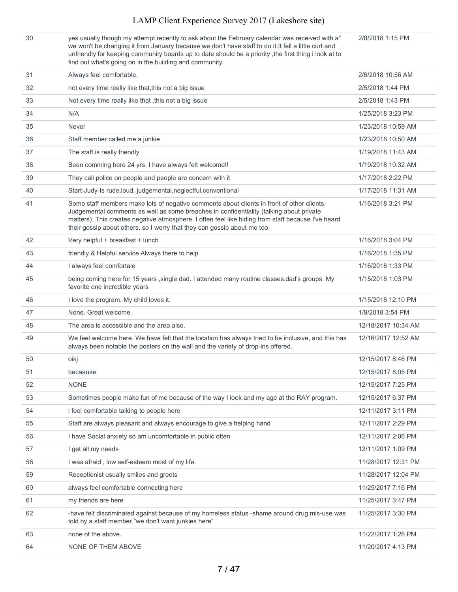yes usually though my attempt recently to ask about the February calendar was received with a" we won't be changing it from January because we don't have staff to do it.It fell a little curt and unfriendly for keeping community boards up to date should be a priority ,the first thing i look at to find out what's going on in the building and community.

2/8/2018 1:15 PM

| 31 | Always feel comfortable.                                                                                                                                                                                                                                                                                                                                                | 2/6/2018 10:56 AM   |
|----|-------------------------------------------------------------------------------------------------------------------------------------------------------------------------------------------------------------------------------------------------------------------------------------------------------------------------------------------------------------------------|---------------------|
| 32 | not every time really like that, this not a big issue                                                                                                                                                                                                                                                                                                                   | 2/5/2018 1:44 PM    |
| 33 | Not every time really like that , this not a big issue                                                                                                                                                                                                                                                                                                                  | 2/5/2018 1:43 PM    |
| 34 | N/A                                                                                                                                                                                                                                                                                                                                                                     | 1/25/2018 3:23 PM   |
| 35 | <b>Never</b>                                                                                                                                                                                                                                                                                                                                                            | 1/23/2018 10:59 AM  |
| 36 | Staff member called me a junkie                                                                                                                                                                                                                                                                                                                                         | 1/23/2018 10:50 AM  |
| 37 | The staff is really friendly                                                                                                                                                                                                                                                                                                                                            | 1/19/2018 11:43 AM  |
| 38 | Been comming here 24 yrs. I have always felt welcome!!                                                                                                                                                                                                                                                                                                                  | 1/19/2018 10:32 AM  |
| 39 | They call police on people and people are concern with it                                                                                                                                                                                                                                                                                                               | 1/17/2018 2:22 PM   |
| 40 | Start-Judy-Is rude, loud, judgemental, neglectful, conventional                                                                                                                                                                                                                                                                                                         | 1/17/2018 11:31 AM  |
| 41 | Some staff members make lots of negative comments about clients in front of other clients.<br>Judgemental comments as well as some breaches in confidentiality (talking about private<br>matters). This creates negative atmosphere. I often feel like hiding from staff because I've heard<br>their gossip about others, so I worry that they can gossip about me too. | 1/16/2018 3:21 PM   |
| 42 | Very helpful + breakfast + lunch                                                                                                                                                                                                                                                                                                                                        | 1/16/2018 3:04 PM   |
| 43 | friendly & Helpful service Always there to help                                                                                                                                                                                                                                                                                                                         | 1/16/2018 1:35 PM   |
| 44 | I always feel comfortale                                                                                                                                                                                                                                                                                                                                                | 1/16/2018 1:33 PM   |
| 45 | being coming here for 15 years , single dad. I attended many routine classes.dad's groups. My<br>favorite one incredible years                                                                                                                                                                                                                                          | 1/15/2018 1:03 PM   |
| 46 | I love the program. My child loves it.                                                                                                                                                                                                                                                                                                                                  | 1/15/2018 12:10 PM  |
| 47 | None. Great welcome                                                                                                                                                                                                                                                                                                                                                     | 1/9/2018 3:54 PM    |
| 48 | The area is accessible and the area also.                                                                                                                                                                                                                                                                                                                               | 12/18/2017 10:34 AM |
| 49 | We feel welcome here. We have felt that the location has always tried to be inclusive, and this has<br>always been notable the posters on the wall and the variety of drop-ins offered.                                                                                                                                                                                 | 12/16/2017 12:52 AM |
| 50 | oikj                                                                                                                                                                                                                                                                                                                                                                    | 12/15/2017 8:46 PM  |
| 51 | becaause                                                                                                                                                                                                                                                                                                                                                                | 12/15/2017 8:05 PM  |
| 52 | <b>NONE</b>                                                                                                                                                                                                                                                                                                                                                             | 12/15/2017 7:25 PM  |
| 53 | Sometimes people make fun of me because of the way I look and my age at the RAY program.                                                                                                                                                                                                                                                                                | 12/15/2017 6:37 PM  |
| 54 | i feel comfortable talking to people here                                                                                                                                                                                                                                                                                                                               | 12/11/2017 3:11 PM  |
| 55 | Staff are always pleasant and always encourage to give a helping hand                                                                                                                                                                                                                                                                                                   | 12/11/2017 2:29 PM  |
| 56 | I have Social anxiety so am uncomfortable in public often                                                                                                                                                                                                                                                                                                               | 12/11/2017 2:06 PM  |
| 57 | I get all my needs                                                                                                                                                                                                                                                                                                                                                      | 12/11/2017 1:09 PM  |
| 58 | I was afraid, low self-esteem most of my life.                                                                                                                                                                                                                                                                                                                          | 11/28/2017 12:31 PM |
| 59 | Receptionist usually smiles and greets                                                                                                                                                                                                                                                                                                                                  | 11/28/2017 12:04 PM |
| 60 | always feel comfortable connecting here                                                                                                                                                                                                                                                                                                                                 | 11/25/2017 7:16 PM  |
| 61 | my friends are here                                                                                                                                                                                                                                                                                                                                                     | 11/25/2017 3:47 PM  |
| 62 | -have felt discriminated against because of my homeless status -shame around drug mis-use was<br>told by a staff member "we don't want junkies here"                                                                                                                                                                                                                    | 11/25/2017 3:30 PM  |
| 63 | none of the above.                                                                                                                                                                                                                                                                                                                                                      | 11/22/2017 1:26 PM  |
| 64 | NONE OF THEM ABOVE                                                                                                                                                                                                                                                                                                                                                      | 11/20/2017 4:13 PM  |
|    |                                                                                                                                                                                                                                                                                                                                                                         |                     |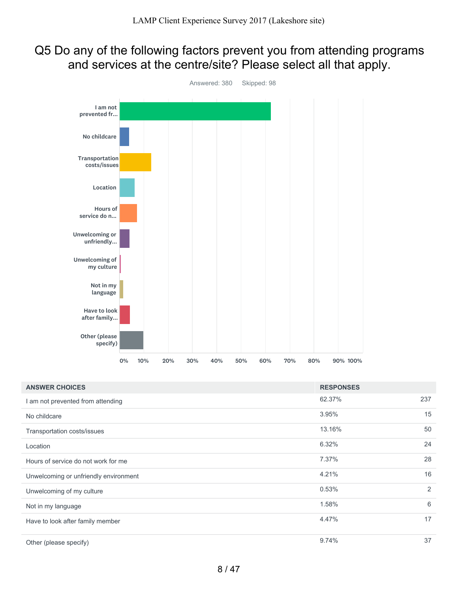### Q5 Do any of the following factors prevent you from attending programs and services at the centre/site? Please select all that apply.



| <b>ANSWER CHOICES</b>                 | <b>RESPONSES</b> |     |
|---------------------------------------|------------------|-----|
| I am not prevented from attending     | 62.37%           | 237 |
| No childcare                          | 3.95%            | 15  |
| Transportation costs/issues           | 13.16%           | 50  |
| Location                              | 6.32%            | 24  |
| Hours of service do not work for me   | 7.37%            | 28  |
| Unwelcoming or unfriendly environment | 4.21%            | 16  |
| Unwelcoming of my culture             | 0.53%            | 2   |
| Not in my language                    | 1.58%            | 6   |
| Have to look after family member      | 4.47%            | 17  |
| Other (please specify)                | 9.74%            | 37  |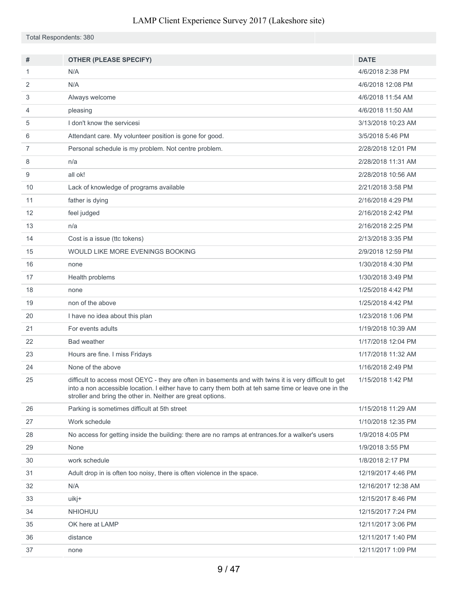Total Respondents: 380

| #              | <b>OTHER (PLEASE SPECIFY)</b>                                                                                                                                                                                                                                                  | <b>DATE</b>         |
|----------------|--------------------------------------------------------------------------------------------------------------------------------------------------------------------------------------------------------------------------------------------------------------------------------|---------------------|
| 1              | N/A                                                                                                                                                                                                                                                                            | 4/6/2018 2:38 PM    |
| 2              | N/A                                                                                                                                                                                                                                                                            | 4/6/2018 12:08 PM   |
| 3              | Always welcome                                                                                                                                                                                                                                                                 | 4/6/2018 11:54 AM   |
| 4              | pleasing                                                                                                                                                                                                                                                                       | 4/6/2018 11:50 AM   |
| 5              | I don't know the servicesi                                                                                                                                                                                                                                                     | 3/13/2018 10:23 AM  |
| 6              | Attendant care. My volunteer position is gone for good.                                                                                                                                                                                                                        | 3/5/2018 5:46 PM    |
| $\overline{7}$ | Personal schedule is my problem. Not centre problem.                                                                                                                                                                                                                           | 2/28/2018 12:01 PM  |
| 8              | n/a                                                                                                                                                                                                                                                                            | 2/28/2018 11:31 AM  |
| 9              | all ok!                                                                                                                                                                                                                                                                        | 2/28/2018 10:56 AM  |
| 10             | Lack of knowledge of programs available                                                                                                                                                                                                                                        | 2/21/2018 3:58 PM   |
| 11             | father is dying                                                                                                                                                                                                                                                                | 2/16/2018 4:29 PM   |
| 12             | feel judged                                                                                                                                                                                                                                                                    | 2/16/2018 2:42 PM   |
| 13             | n/a                                                                                                                                                                                                                                                                            | 2/16/2018 2:25 PM   |
| 14             | Cost is a issue (ttc tokens)                                                                                                                                                                                                                                                   | 2/13/2018 3:35 PM   |
| 15             | WOULD LIKE MORE EVENINGS BOOKING                                                                                                                                                                                                                                               | 2/9/2018 12:59 PM   |
| 16             | none                                                                                                                                                                                                                                                                           | 1/30/2018 4:30 PM   |
| 17             | Health problems                                                                                                                                                                                                                                                                | 1/30/2018 3:49 PM   |
| 18             | none                                                                                                                                                                                                                                                                           | 1/25/2018 4:42 PM   |
| 19             | non of the above                                                                                                                                                                                                                                                               | 1/25/2018 4:42 PM   |
| 20             | I have no idea about this plan                                                                                                                                                                                                                                                 | 1/23/2018 1:06 PM   |
| 21             | For events adults                                                                                                                                                                                                                                                              | 1/19/2018 10:39 AM  |
| 22             | <b>Bad weather</b>                                                                                                                                                                                                                                                             | 1/17/2018 12:04 PM  |
| 23             | Hours are fine. I miss Fridays                                                                                                                                                                                                                                                 | 1/17/2018 11:32 AM  |
| 24             | None of the above                                                                                                                                                                                                                                                              | 1/16/2018 2:49 PM   |
| 25             | difficult to access most OEYC - they are often in basements and with twins it is very difficult to get<br>into a non accessible location. I either have to carry them both at teh same time or leave one in the<br>stroller and bring the other in. Neither are great options. | 1/15/2018 1:42 PM   |
| 26             | Parking is sometimes difficult at 5th street                                                                                                                                                                                                                                   | 1/15/2018 11:29 AM  |
| 27             | Work schedule                                                                                                                                                                                                                                                                  | 1/10/2018 12:35 PM  |
| 28             | No access for getting inside the building: there are no ramps at entrances for a walker's users                                                                                                                                                                                | 1/9/2018 4:05 PM    |
| 29             | None                                                                                                                                                                                                                                                                           | 1/9/2018 3:55 PM    |
| 30             | work schedule                                                                                                                                                                                                                                                                  | 1/8/2018 2:17 PM    |
| 31             | Adult drop in is often too noisy, there is often violence in the space.                                                                                                                                                                                                        | 12/19/2017 4:46 PM  |
| 32             | N/A                                                                                                                                                                                                                                                                            | 12/16/2017 12:38 AM |
| 33             | uikj+                                                                                                                                                                                                                                                                          | 12/15/2017 8:46 PM  |
| 34             | <b>NHIOHUU</b>                                                                                                                                                                                                                                                                 | 12/15/2017 7:24 PM  |
| 35             | OK here at LAMP                                                                                                                                                                                                                                                                | 12/11/2017 3:06 PM  |
| 36             | distance                                                                                                                                                                                                                                                                       | 12/11/2017 1:40 PM  |
| 37             | none                                                                                                                                                                                                                                                                           | 12/11/2017 1:09 PM  |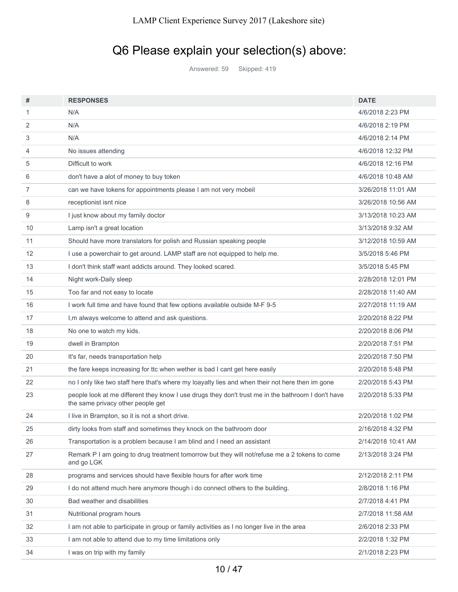## Q6 Please explain your selection(s) above:

Answered: 59 Skipped: 419

| #  | <b>RESPONSES</b>                                                                                                                        | <b>DATE</b>        |
|----|-----------------------------------------------------------------------------------------------------------------------------------------|--------------------|
| 1  | N/A                                                                                                                                     | 4/6/2018 2:23 PM   |
| 2  | N/A                                                                                                                                     | 4/6/2018 2:19 PM   |
| 3  | N/A                                                                                                                                     | 4/6/2018 2:14 PM   |
| 4  | No issues attending                                                                                                                     | 4/6/2018 12:32 PM  |
| 5  | Difficult to work                                                                                                                       | 4/6/2018 12:16 PM  |
| 6  | don't have a alot of money to buy token                                                                                                 | 4/6/2018 10:48 AM  |
| 7  | can we have tokens for appointments please I am not very mobeil                                                                         | 3/26/2018 11:01 AM |
| 8  | receptionist isnt nice                                                                                                                  | 3/26/2018 10:56 AM |
| 9  | I just know about my family doctor                                                                                                      | 3/13/2018 10:23 AM |
| 10 | Lamp isn't a great location                                                                                                             | 3/13/2018 9:32 AM  |
| 11 | Should have more translators for polish and Russian speaking people                                                                     | 3/12/2018 10:59 AM |
| 12 | I use a powerchair to get around. LAMP staff are not equipped to help me.                                                               | 3/5/2018 5:46 PM   |
| 13 | I don't think staff want addicts around. They looked scared.                                                                            | 3/5/2018 5:45 PM   |
| 14 | Night work-Daily sleep                                                                                                                  | 2/28/2018 12:01 PM |
| 15 | Too far and not easy to locate                                                                                                          | 2/28/2018 11:40 AM |
| 16 | I work full time and have found that few options available outside M-F 9-5                                                              | 2/27/2018 11:19 AM |
| 17 | I, m always welcome to attend and ask questions.                                                                                        | 2/20/2018 8:22 PM  |
| 18 | No one to watch my kids.                                                                                                                | 2/20/2018 8:06 PM  |
| 19 | dwell in Brampton                                                                                                                       | 2/20/2018 7:51 PM  |
| 20 | It's far, needs transportation help                                                                                                     | 2/20/2018 7:50 PM  |
| 21 | the fare keeps increasing for ttc when wether is bad I cant get here easily                                                             | 2/20/2018 5:48 PM  |
| 22 | no I only like two staff here that's where my loayalty lies and when their not here then im gone                                        | 2/20/2018 5:43 PM  |
| 23 | people look at me different they know I use drugs they don't trust me in the bathroom I don't have<br>the same privacy other people get | 2/20/2018 5:33 PM  |
| 24 | I live in Brampton, so it is not a short drive.                                                                                         | 2/20/2018 1:02 PM  |
| 25 | dirty looks from staff and sometimes they knock on the bathroom door                                                                    | 2/16/2018 4:32 PM  |
| 26 | Transportation is a problem because I am blind and I need an assistant                                                                  | 2/14/2018 10:41 AM |
| 27 | Remark P I am going to drug treatment tomorrow but they will not/refuse me a 2 tokens to come<br>and go LGK                             | 2/13/2018 3:24 PM  |
| 28 | programs and services should have flexible hours for after work time                                                                    | 2/12/2018 2:11 PM  |
| 29 | I do not attend much here anymore though i do connect others to the building.                                                           | 2/8/2018 1:16 PM   |
| 30 | Bad weather and disabilities                                                                                                            | 2/7/2018 4:41 PM   |
| 31 | Nutritional program hours                                                                                                               | 2/7/2018 11:58 AM  |
| 32 | I am not able to participate in group or family activities as I no longer live in the area                                              | 2/6/2018 2:33 PM   |
| 33 | I am not able to attend due to my time limitations only                                                                                 | 2/2/2018 1:32 PM   |
| 34 | I was on trip with my family                                                                                                            | 2/1/2018 2:23 PM   |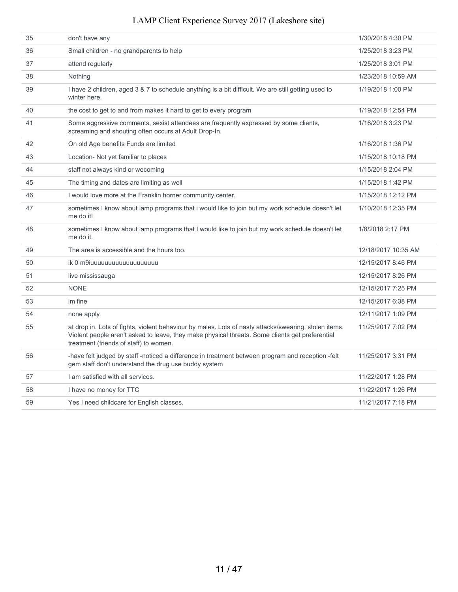| 35 | don't have any                                                                                                                                                                                                                                     | 1/30/2018 4:30 PM   |
|----|----------------------------------------------------------------------------------------------------------------------------------------------------------------------------------------------------------------------------------------------------|---------------------|
| 36 | Small children - no grandparents to help                                                                                                                                                                                                           | 1/25/2018 3:23 PM   |
| 37 | attend regularly                                                                                                                                                                                                                                   | 1/25/2018 3:01 PM   |
| 38 | Nothing                                                                                                                                                                                                                                            | 1/23/2018 10:59 AM  |
| 39 | I have 2 children, aged 3 & 7 to schedule anything is a bit difficult. We are still getting used to<br>winter here.                                                                                                                                | 1/19/2018 1:00 PM   |
| 40 | the cost to get to and from makes it hard to get to every program                                                                                                                                                                                  | 1/19/2018 12:54 PM  |
| 41 | Some aggressive comments, sexist attendees are frequently expressed by some clients,<br>screaming and shouting often occurs at Adult Drop-In.                                                                                                      | 1/16/2018 3:23 PM   |
| 42 | On old Age benefits Funds are limited                                                                                                                                                                                                              | 1/16/2018 1:36 PM   |
| 43 | Location- Not yet familiar to places                                                                                                                                                                                                               | 1/15/2018 10:18 PM  |
| 44 | staff not always kind or wecoming                                                                                                                                                                                                                  | 1/15/2018 2:04 PM   |
| 45 | The timing and dates are limiting as well                                                                                                                                                                                                          | 1/15/2018 1:42 PM   |
| 46 | I would love more at the Franklin horner community center.                                                                                                                                                                                         | 1/15/2018 12:12 PM  |
| 47 | sometimes I know about lamp programs that i would like to join but my work schedule doesn't let<br>me do it!                                                                                                                                       | 1/10/2018 12:35 PM  |
| 48 | sometimes I know about lamp programs that I would like to join but my work schedule doesn't let<br>me do it.                                                                                                                                       | 1/8/2018 2:17 PM    |
| 49 | The area is accessible and the hours too.                                                                                                                                                                                                          | 12/18/2017 10:35 AM |
| 50 | ik 0 m9iuuuuuuuuuuuuuuuuuu                                                                                                                                                                                                                         | 12/15/2017 8:46 PM  |
| 51 | live mississauga                                                                                                                                                                                                                                   | 12/15/2017 8:26 PM  |
| 52 | <b>NONE</b>                                                                                                                                                                                                                                        | 12/15/2017 7:25 PM  |
| 53 | im fine                                                                                                                                                                                                                                            | 12/15/2017 6:38 PM  |
| 54 | none apply                                                                                                                                                                                                                                         | 12/11/2017 1:09 PM  |
| 55 | at drop in. Lots of fights, violent behaviour by males. Lots of nasty attacks/swearing, stolen items.<br>Violent people aren't asked to leave, they make physical threats. Some clients get preferential<br>treatment (friends of staff) to women. | 11/25/2017 7:02 PM  |
| 56 | -have felt judged by staff-noticed a difference in treatment between program and reception -felt<br>gem staff don't understand the drug use buddy system                                                                                           | 11/25/2017 3:31 PM  |
| 57 | I am satisfied with all services.                                                                                                                                                                                                                  | 11/22/2017 1:28 PM  |
| 58 | I have no money for TTC                                                                                                                                                                                                                            | 11/22/2017 1:26 PM  |
| 59 | Yes I need childcare for English classes.                                                                                                                                                                                                          | 11/21/2017 7:18 PM  |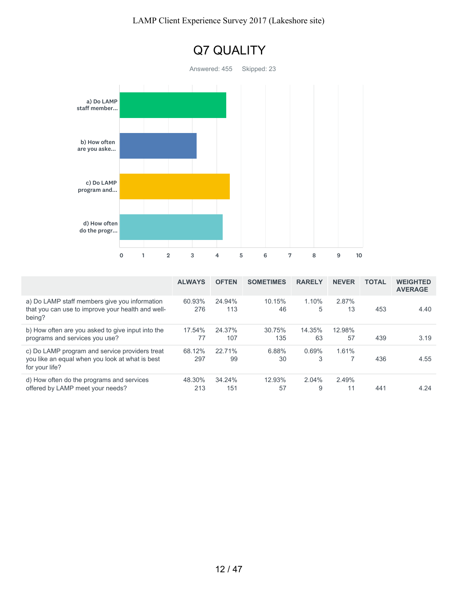

|                                                                                                                     | <b>ALWAYS</b> | <b>OFTEN</b>  | <b>SOMETIMES</b> | <b>RARELY</b> | <b>NEVER</b> | <b>TOTAL</b> | <b>WEIGHTED</b><br><b>AVERAGE</b> |
|---------------------------------------------------------------------------------------------------------------------|---------------|---------------|------------------|---------------|--------------|--------------|-----------------------------------|
| a) Do LAMP staff members give you information<br>that you can use to improve your health and well-<br>being?        | 60.93%<br>276 | 24.94%<br>113 | 10.15%<br>46     | 1.10%<br>5    | 2.87%<br>13  | 453          | 4.40                              |
| b) How often are you asked to give input into the<br>programs and services you use?                                 | 17.54%<br>77  | 24.37%<br>107 | 30.75%<br>135    | 14.35%<br>63  | 12.98%<br>57 | 439          | 3.19                              |
| c) Do LAMP program and service providers treat<br>you like an equal when you look at what is best<br>for your life? | 68.12%<br>297 | 22.71%<br>99  | 6.88%<br>30      | 0.69%<br>3    | 1.61%        | 436          | 4.55                              |
| d) How often do the programs and services<br>offered by LAMP meet your needs?                                       | 48.30%<br>213 | 34.24%<br>151 | 12.93%<br>57     | 2.04%<br>9    | 2.49%<br>11  | 441          | 4.24                              |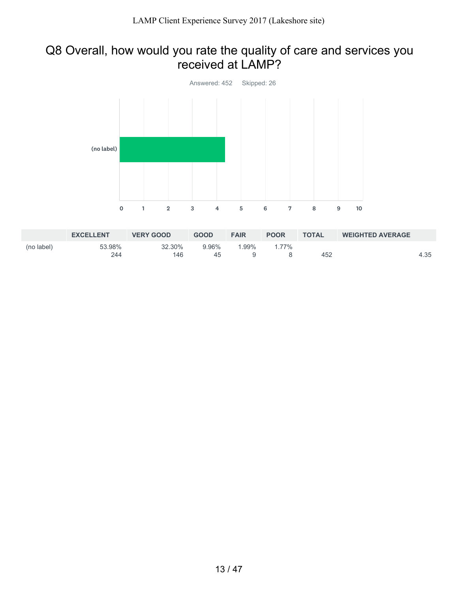### Q8 Overall, how would you rate the quality of care and services you received at LAMP?



|            | <b>EXCELLENT</b> | <b>VERY GOOD</b> | <b>GOOD</b> | <b>FAIR</b> | <b>POOR</b> | <b>TOTAL</b> | <b>WEIGHTED AVERAGE</b> |      |
|------------|------------------|------------------|-------------|-------------|-------------|--------------|-------------------------|------|
| (no label) | 53.98%           | 32.30%           | 9.96%       | $.99\%$     | $1.77\%$    |              |                         |      |
|            | 244              | 146              | 45          |             |             | 452          |                         | 4.35 |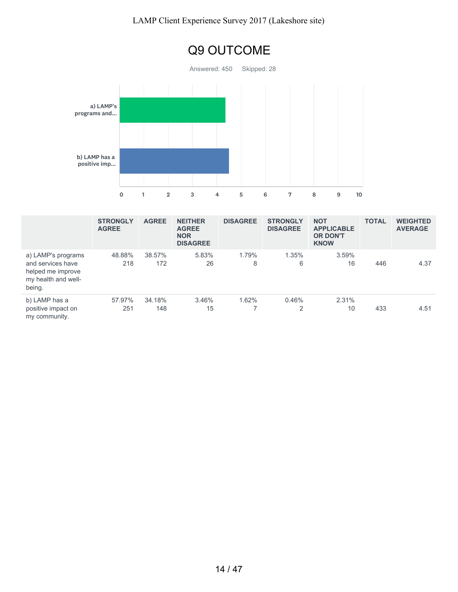

|                                                                                               | <b>STRONGLY</b><br><b>AGREE</b> | <b>AGREE</b>  | <b>NEITHER</b><br><b>AGREE</b><br><b>NOR</b><br><b>DISAGREE</b> | <b>DISAGREE</b> | <b>STRONGLY</b><br><b>DISAGREE</b> | <b>NOT</b><br><b>APPLICABLE</b><br><b>OR DON'T</b><br><b>KNOW</b> | <b>TOTAL</b> | <b>WEIGHTED</b><br><b>AVERAGE</b> |
|-----------------------------------------------------------------------------------------------|---------------------------------|---------------|-----------------------------------------------------------------|-----------------|------------------------------------|-------------------------------------------------------------------|--------------|-----------------------------------|
| a) LAMP's programs<br>and services have<br>helped me improve<br>my health and well-<br>being. | 48.88%<br>218                   | 38.57%<br>172 | 5.83%<br>26                                                     | 1.79%<br>8      | 1.35%<br>6                         | 3.59%<br>16                                                       | 446          | 4.37                              |
| b) LAMP has a<br>positive impact on<br>my community.                                          | 57.97%<br>251                   | 34.18%<br>148 | 3.46%<br>15                                                     | 1.62%           | 0.46%<br>2                         | 2.31%<br>10                                                       | 433          | 4.51                              |

#### 14 / 47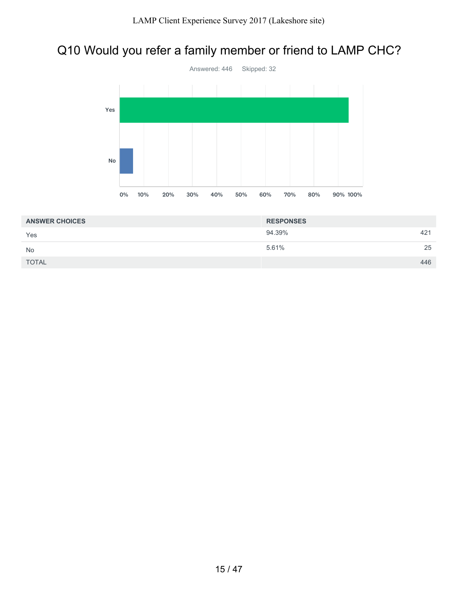## Q10 Would you refer a family member or friend to LAMP CHC?



| <b>ANSWER CHOICES</b> | <b>RESPONSES</b> |     |
|-----------------------|------------------|-----|
| Yes                   | 94.39%           | 421 |
| No                    | 5.61%            | 25  |
| <b>TOTAL</b>          |                  | 446 |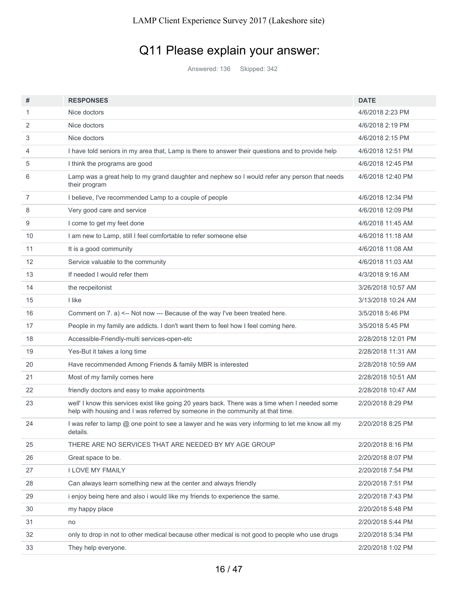## Q11 Please explain your answer:

Answered: 136 Skipped: 342

| #              | <b>RESPONSES</b>                                                                                                                                                                 | <b>DATE</b>        |
|----------------|----------------------------------------------------------------------------------------------------------------------------------------------------------------------------------|--------------------|
| 1              | Nice doctors                                                                                                                                                                     | 4/6/2018 2:23 PM   |
| 2              | Nice doctors                                                                                                                                                                     | 4/6/2018 2:19 PM   |
| 3              | Nice doctors                                                                                                                                                                     | 4/6/2018 2:15 PM   |
| 4              | I have told seniors in my area that, Lamp is there to answer their questions and to provide help                                                                                 | 4/6/2018 12:51 PM  |
| 5              | I think the programs are good                                                                                                                                                    | 4/6/2018 12:45 PM  |
| 6              | Lamp was a great help to my grand daughter and nephew so I would refer any person that needs<br>their program                                                                    | 4/6/2018 12:40 PM  |
| $\overline{7}$ | I believe, I've recommended Lamp to a couple of people                                                                                                                           | 4/6/2018 12:34 PM  |
| 8              | Very good care and service                                                                                                                                                       | 4/6/2018 12:09 PM  |
| 9              | I come to get my feet done                                                                                                                                                       | 4/6/2018 11:45 AM  |
| 10             | I am new to Lamp, still I feel comfortable to refer someone else                                                                                                                 | 4/6/2018 11:18 AM  |
| 11             | It is a good community                                                                                                                                                           | 4/6/2018 11:08 AM  |
| 12             | Service valuable to the community                                                                                                                                                | 4/6/2018 11:03 AM  |
| 13             | If needed I would refer them                                                                                                                                                     | 4/3/2018 9:16 AM   |
| 14             | the recpeitonist                                                                                                                                                                 | 3/26/2018 10:57 AM |
| 15             | I like                                                                                                                                                                           | 3/13/2018 10:24 AM |
| 16             | Comment on 7. a) <-- Not now --- Because of the way I've been treated here.                                                                                                      | 3/5/2018 5:46 PM   |
| 17             | People in my family are addicts. I don't want them to feel how I feel coming here.                                                                                               | 3/5/2018 5:45 PM   |
| 18             | Accessible-Friendly-multi services-open-etc                                                                                                                                      | 2/28/2018 12:01 PM |
| 19             | Yes-But it takes a long time                                                                                                                                                     | 2/28/2018 11:31 AM |
| 20             | Have recommended Among Friends & family MBR is interested                                                                                                                        | 2/28/2018 10:59 AM |
| 21             | Most of my family comes here                                                                                                                                                     | 2/28/2018 10:51 AM |
| 22             | friendly doctors and easy to make appointments                                                                                                                                   | 2/28/2018 10:47 AM |
| 23             | well' I know this services exist like going 20 years back. There was a time when I needed some<br>help with housing and I was referred by someone in the community at that time. | 2/20/2018 8:29 PM  |
| 24             | I was refer to lamp @ one point to see a lawyer and he was very informing to let me know all my<br>details.                                                                      | 2/20/2018 8:25 PM  |
| 25             | THERE ARE NO SERVICES THAT ARE NEEDED BY MY AGE GROUP                                                                                                                            | 2/20/2018 8:16 PM  |
| 26             | Great space to be.                                                                                                                                                               | 2/20/2018 8:07 PM  |
| 27             | <b>I LOVE MY FMAILY</b>                                                                                                                                                          | 2/20/2018 7:54 PM  |
| 28             | Can always learn something new at the center and always friendly                                                                                                                 | 2/20/2018 7:51 PM  |
| 29             | i enjoy being here and also i would like my friends to experience the same.                                                                                                      | 2/20/2018 7:43 PM  |
| 30             | my happy place                                                                                                                                                                   | 2/20/2018 5:48 PM  |
| 31             | no                                                                                                                                                                               | 2/20/2018 5:44 PM  |
| 32             | only to drop in not to other medical because other medical is not good to people who use drugs                                                                                   | 2/20/2018 5:34 PM  |
| 33             | They help everyone.                                                                                                                                                              | 2/20/2018 1:02 PM  |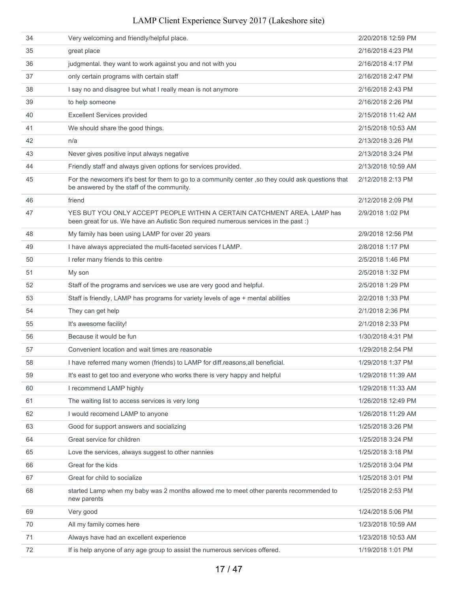| 34 | Very welcoming and friendly/helpful place.                                                                                                                       | 2/20/2018 12:59 PM |
|----|------------------------------------------------------------------------------------------------------------------------------------------------------------------|--------------------|
| 35 | great place                                                                                                                                                      | 2/16/2018 4:23 PM  |
| 36 | judgmental. they want to work against you and not with you                                                                                                       | 2/16/2018 4:17 PM  |
| 37 | only certain programs with certain staff                                                                                                                         | 2/16/2018 2:47 PM  |
| 38 | I say no and disagree but what I really mean is not anymore                                                                                                      | 2/16/2018 2:43 PM  |
| 39 | to help someone                                                                                                                                                  | 2/16/2018 2:26 PM  |
| 40 | <b>Excellent Services provided</b>                                                                                                                               | 2/15/2018 11:42 AM |
| 41 | We should share the good things.                                                                                                                                 | 2/15/2018 10:53 AM |
| 42 | n/a                                                                                                                                                              | 2/13/2018 3:26 PM  |
| 43 | Never gives positive input always negative                                                                                                                       | 2/13/2018 3:24 PM  |
| 44 | Friendly staff and always given options for services provided.                                                                                                   | 2/13/2018 10:59 AM |
| 45 | For the newcomers it's best for them to go to a community center, so they could ask questions that<br>be answered by the staff of the community.                 | 2/12/2018 2:13 PM  |
| 46 | friend                                                                                                                                                           | 2/12/2018 2:09 PM  |
| 47 | YES BUT YOU ONLY ACCEPT PEOPLE WITHIN A CERTAIN CATCHMENT AREA, LAMP has<br>been great for us. We have an Autistic Son required numerous services in the past :) | 2/9/2018 1:02 PM   |
| 48 | My family has been using LAMP for over 20 years                                                                                                                  | 2/9/2018 12:56 PM  |
| 49 | I have always appreciated the multi-faceted services f LAMP.                                                                                                     | 2/8/2018 1:17 PM   |
| 50 | I refer many friends to this centre                                                                                                                              | 2/5/2018 1:46 PM   |
| 51 | My son                                                                                                                                                           | 2/5/2018 1:32 PM   |
| 52 | Staff of the programs and services we use are very good and helpful.                                                                                             | 2/5/2018 1:29 PM   |
| 53 | Staff is friendly, LAMP has programs for variety levels of age + mental abilities                                                                                | 2/2/2018 1:33 PM   |
| 54 | They can get help                                                                                                                                                | 2/1/2018 2:36 PM   |
| 55 | It's awesome facility!                                                                                                                                           | 2/1/2018 2:33 PM   |
| 56 | Because it would be fun                                                                                                                                          | 1/30/2018 4:31 PM  |
| 57 | Convenient location and wait times are reasonable                                                                                                                | 1/29/2018 2:54 PM  |
| 58 | I have referred many women (friends) to LAMP for diff.reasons, all beneficial.                                                                                   | 1/29/2018 1:37 PM  |
| 59 | It's east to get too and everyone who works there is very happy and helpful                                                                                      | 1/29/2018 11:39 AM |
| 60 | I recommend LAMP highly                                                                                                                                          | 1/29/2018 11:33 AM |
| 61 | The waiting list to access services is very long                                                                                                                 | 1/26/2018 12:49 PM |
| 62 | I would recomend LAMP to anyone                                                                                                                                  | 1/26/2018 11:29 AM |
| 63 | Good for support answers and socializing                                                                                                                         | 1/25/2018 3:26 PM  |
| 64 | Great service for children                                                                                                                                       | 1/25/2018 3:24 PM  |
| 65 | Love the services, always suggest to other nannies                                                                                                               | 1/25/2018 3:18 PM  |
| 66 | Great for the kids                                                                                                                                               | 1/25/2018 3:04 PM  |
| 67 | Great for child to socialize                                                                                                                                     | 1/25/2018 3:01 PM  |
| 68 | started Lamp when my baby was 2 months allowed me to meet other parents recommended to<br>new parents                                                            | 1/25/2018 2:53 PM  |
| 69 | Very good                                                                                                                                                        | 1/24/2018 5:06 PM  |
| 70 | All my family comes here                                                                                                                                         | 1/23/2018 10:59 AM |
| 71 | Always have had an excellent experience                                                                                                                          | 1/23/2018 10:53 AM |
| 72 | If is help anyone of any age group to assist the numerous services offered.                                                                                      | 1/19/2018 1:01 PM  |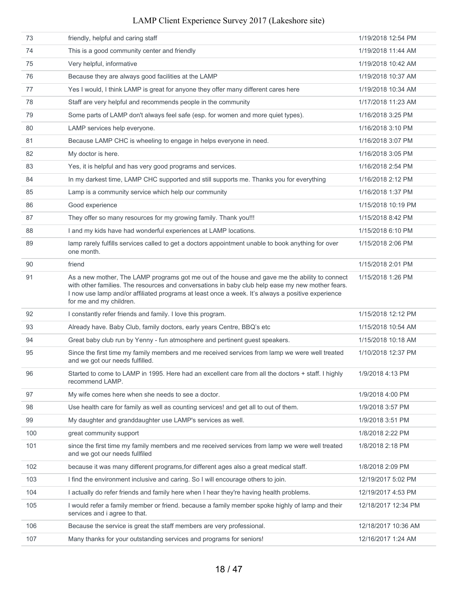| 73  | friendly, helpful and caring staff                                                                                                                                                                                                                                                                                                | 1/19/2018 12:54 PM  |
|-----|-----------------------------------------------------------------------------------------------------------------------------------------------------------------------------------------------------------------------------------------------------------------------------------------------------------------------------------|---------------------|
| 74  | This is a good community center and friendly                                                                                                                                                                                                                                                                                      | 1/19/2018 11:44 AM  |
| 75  | Very helpful, informative                                                                                                                                                                                                                                                                                                         | 1/19/2018 10:42 AM  |
| 76  | Because they are always good facilities at the LAMP                                                                                                                                                                                                                                                                               | 1/19/2018 10:37 AM  |
| 77  | Yes I would, I think LAMP is great for anyone they offer many different cares here                                                                                                                                                                                                                                                | 1/19/2018 10:34 AM  |
| 78  | Staff are very helpful and recommends people in the community                                                                                                                                                                                                                                                                     | 1/17/2018 11:23 AM  |
| 79  | Some parts of LAMP don't always feel safe (esp. for women and more quiet types).                                                                                                                                                                                                                                                  | 1/16/2018 3:25 PM   |
| 80  | LAMP services help everyone.                                                                                                                                                                                                                                                                                                      | 1/16/2018 3:10 PM   |
| 81  | Because LAMP CHC is wheeling to engage in helps everyone in need.                                                                                                                                                                                                                                                                 | 1/16/2018 3:07 PM   |
| 82  | My doctor is here.                                                                                                                                                                                                                                                                                                                | 1/16/2018 3:05 PM   |
| 83  | Yes, it is helpful and has very good programs and services.                                                                                                                                                                                                                                                                       | 1/16/2018 2:54 PM   |
| 84  | In my darkest time, LAMP CHC supported and still supports me. Thanks you for everything                                                                                                                                                                                                                                           | 1/16/2018 2:12 PM   |
| 85  | Lamp is a community service which help our community                                                                                                                                                                                                                                                                              | 1/16/2018 1:37 PM   |
| 86  | Good experience                                                                                                                                                                                                                                                                                                                   | 1/15/2018 10:19 PM  |
| 87  | They offer so many resources for my growing family. Thank you!!!                                                                                                                                                                                                                                                                  | 1/15/2018 8:42 PM   |
| 88  | I and my kids have had wonderful experiences at LAMP locations.                                                                                                                                                                                                                                                                   | 1/15/2018 6:10 PM   |
| 89  | lamp rarely fulfills services called to get a doctors appointment unable to book anything for over<br>one month.                                                                                                                                                                                                                  | 1/15/2018 2:06 PM   |
| 90  | friend                                                                                                                                                                                                                                                                                                                            | 1/15/2018 2:01 PM   |
| 91  | As a new mother, The LAMP programs got me out of the house and gave me the ability to connect<br>with other families. The resources and conversations in baby club help ease my new mother fears.<br>I now use lamp and/or affiliated programs at least once a week. It's always a positive experience<br>for me and my children. | 1/15/2018 1:26 PM   |
| 92  | I constantly refer friends and family. I love this program.                                                                                                                                                                                                                                                                       | 1/15/2018 12:12 PM  |
| 93  | Already have. Baby Club, family doctors, early years Centre, BBQ's etc                                                                                                                                                                                                                                                            | 1/15/2018 10:54 AM  |
| 94  | Great baby club run by Yenny - fun atmosphere and pertinent guest speakers.                                                                                                                                                                                                                                                       | 1/15/2018 10:18 AM  |
| 95  | Since the first time my family members and me received services from lamp we were well treated<br>and we got our needs fulfilled.                                                                                                                                                                                                 | 1/10/2018 12:37 PM  |
| 96  | Started to come to LAMP in 1995. Here had an excellent care from all the doctors + staff. I highly<br>recommend LAMP.                                                                                                                                                                                                             | 1/9/2018 4:13 PM    |
| 97  | My wife comes here when she needs to see a doctor.                                                                                                                                                                                                                                                                                | 1/9/2018 4:00 PM    |
| 98  | Use health care for family as well as counting services! and get all to out of them.                                                                                                                                                                                                                                              | 1/9/2018 3:57 PM    |
| 99  | My daughter and granddaughter use LAMP's services as well.                                                                                                                                                                                                                                                                        | 1/9/2018 3:51 PM    |
| 100 | great community support                                                                                                                                                                                                                                                                                                           | 1/8/2018 2:22 PM    |
| 101 | since the first time my family members and me received services from lamp we were well treated<br>and we got our needs fullfiled                                                                                                                                                                                                  | 1/8/2018 2:18 PM    |
| 102 | because it was many different programs, for different ages also a great medical staff.                                                                                                                                                                                                                                            | 1/8/2018 2:09 PM    |
| 103 | I find the environment inclusive and caring. So I will encourage others to join.                                                                                                                                                                                                                                                  | 12/19/2017 5:02 PM  |
| 104 | I actually do refer friends and family here when I hear they're having health problems.                                                                                                                                                                                                                                           | 12/19/2017 4:53 PM  |
| 105 | I would refer a family member or friend. because a family member spoke highly of lamp and their<br>services and i agree to that.                                                                                                                                                                                                  | 12/18/2017 12:34 PM |
| 106 | Because the service is great the staff members are very professional.                                                                                                                                                                                                                                                             | 12/18/2017 10:36 AM |
| 107 | Many thanks for your outstanding services and programs for seniors!                                                                                                                                                                                                                                                               | 12/16/2017 1:24 AM  |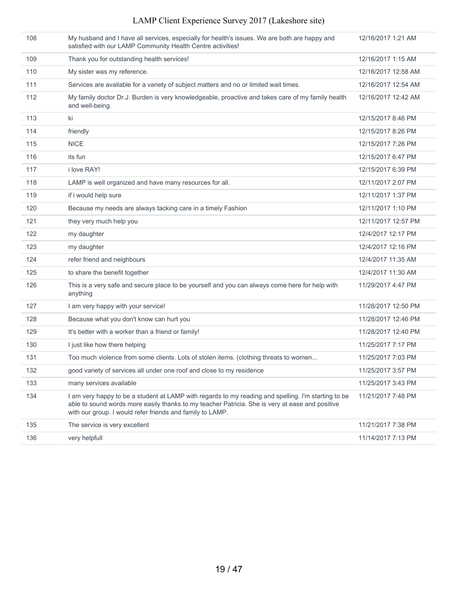| 108 | My husband and I have all services, especially for health's issues. We are both are happy and<br>satisfied with our LAMP Community Health Centre activities!                                                                                                        | 12/16/2017 1:21 AM  |
|-----|---------------------------------------------------------------------------------------------------------------------------------------------------------------------------------------------------------------------------------------------------------------------|---------------------|
| 109 | Thank you for outstanding health services!                                                                                                                                                                                                                          | 12/16/2017 1:15 AM  |
| 110 | My sister was my reference.                                                                                                                                                                                                                                         | 12/16/2017 12:58 AM |
| 111 | Services are available for a variety of subject matters and no or limited wait times.                                                                                                                                                                               | 12/16/2017 12:54 AM |
| 112 | My family doctor Dr.J. Burden is very knowledgeable, proactive and takes care of my family health<br>and well-being.                                                                                                                                                | 12/16/2017 12:42 AM |
| 113 | ki                                                                                                                                                                                                                                                                  | 12/15/2017 8:46 PM  |
| 114 | friendly                                                                                                                                                                                                                                                            | 12/15/2017 8:26 PM  |
| 115 | <b>NICE</b>                                                                                                                                                                                                                                                         | 12/15/2017 7:26 PM  |
| 116 | its fun                                                                                                                                                                                                                                                             | 12/15/2017 6:47 PM  |
| 117 | i love RAY!                                                                                                                                                                                                                                                         | 12/15/2017 6:39 PM  |
| 118 | LAMP is well organized and have many resources for all.                                                                                                                                                                                                             | 12/11/2017 2:07 PM  |
| 119 | if i would help sure                                                                                                                                                                                                                                                | 12/11/2017 1:37 PM  |
| 120 | Because my needs are always tacking care in a timely Fashion                                                                                                                                                                                                        | 12/11/2017 1:10 PM  |
| 121 | they very much help you                                                                                                                                                                                                                                             | 12/11/2017 12:57 PM |
| 122 | my daughter                                                                                                                                                                                                                                                         | 12/4/2017 12:17 PM  |
| 123 | my daughter                                                                                                                                                                                                                                                         | 12/4/2017 12:16 PM  |
| 124 | refer friend and neighbours                                                                                                                                                                                                                                         | 12/4/2017 11:35 AM  |
| 125 | to share the benefit together                                                                                                                                                                                                                                       | 12/4/2017 11:30 AM  |
| 126 | This is a very safe and secure place to be yourself and you can always come here for help with<br>anything                                                                                                                                                          | 11/29/2017 4:47 PM  |
| 127 | I am very happy with your service!                                                                                                                                                                                                                                  | 11/28/2017 12:50 PM |
| 128 | Because what you don't know can hurt you                                                                                                                                                                                                                            | 11/28/2017 12:46 PM |
| 129 | It's better with a worker than a friend or family!                                                                                                                                                                                                                  | 11/28/2017 12:40 PM |
| 130 | I just like how there helping                                                                                                                                                                                                                                       | 11/25/2017 7:17 PM  |
| 131 | Too much violence from some clients. Lots of stolen items. (clothing threats to women                                                                                                                                                                               | 11/25/2017 7:03 PM  |
| 132 | good variety of services all under one roof and close to my residence                                                                                                                                                                                               | 11/25/2017 3:57 PM  |
| 133 | many services available                                                                                                                                                                                                                                             | 11/25/2017 3:43 PM  |
| 134 | I am very happy to be a student at LAMP with regards to my reading and spelling. I'm starting to be<br>able to sound words more easily thanks to my teacher Patricia. She is very at ease and positive<br>with our group. I would refer friends and family to LAMP. | 11/21/2017 7:48 PM  |
| 135 | The service is very excellent                                                                                                                                                                                                                                       | 11/21/2017 7:38 PM  |
| 136 | very helpfull                                                                                                                                                                                                                                                       | 11/14/2017 7:13 PM  |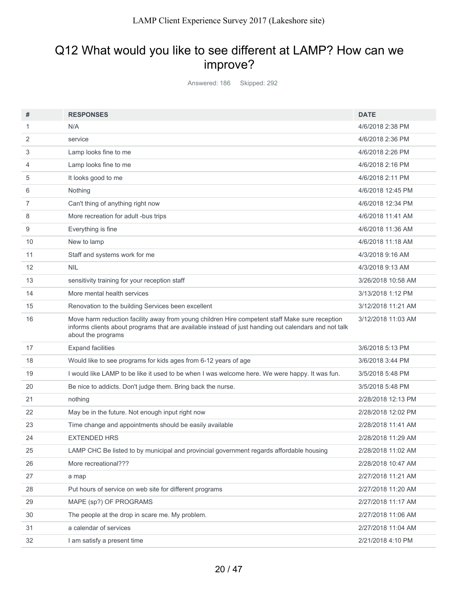## Q12 What would you like to see different at LAMP? How can we improve?

Answered: 186 Skipped: 292

| #  | <b>RESPONSES</b>                                                                                                                                                                                                             | <b>DATE</b>        |
|----|------------------------------------------------------------------------------------------------------------------------------------------------------------------------------------------------------------------------------|--------------------|
| 1  | N/A                                                                                                                                                                                                                          | 4/6/2018 2:38 PM   |
| 2  | service                                                                                                                                                                                                                      | 4/6/2018 2:36 PM   |
| 3  | Lamp looks fine to me                                                                                                                                                                                                        | 4/6/2018 2:26 PM   |
| 4  | Lamp looks fine to me                                                                                                                                                                                                        | 4/6/2018 2:16 PM   |
| 5  | It looks good to me                                                                                                                                                                                                          | 4/6/2018 2:11 PM   |
| 6  | Nothing                                                                                                                                                                                                                      | 4/6/2018 12:45 PM  |
| 7  | Can't thing of anything right now                                                                                                                                                                                            | 4/6/2018 12:34 PM  |
| 8  | More recreation for adult -bus trips                                                                                                                                                                                         | 4/6/2018 11:41 AM  |
| 9  | Everything is fine                                                                                                                                                                                                           | 4/6/2018 11:36 AM  |
| 10 | New to lamp                                                                                                                                                                                                                  | 4/6/2018 11:18 AM  |
| 11 | Staff and systems work for me                                                                                                                                                                                                | 4/3/2018 9:16 AM   |
| 12 | <b>NIL</b>                                                                                                                                                                                                                   | 4/3/2018 9:13 AM   |
| 13 | sensitivity training for your reception staff                                                                                                                                                                                | 3/26/2018 10:58 AM |
| 14 | More mental health services                                                                                                                                                                                                  | 3/13/2018 1:12 PM  |
| 15 | Renovation to the building Services been excellent                                                                                                                                                                           | 3/12/2018 11:21 AM |
| 16 | Move harm reduction facility away from young children Hire competent staff Make sure reception<br>informs clients about programs that are available instead of just handing out calendars and not talk<br>about the programs | 3/12/2018 11:03 AM |
| 17 | <b>Expand facilities</b>                                                                                                                                                                                                     | 3/6/2018 5:13 PM   |
| 18 | Would like to see programs for kids ages from 6-12 years of age                                                                                                                                                              | 3/6/2018 3:44 PM   |
| 19 | I would like LAMP to be like it used to be when I was welcome here. We were happy. It was fun.                                                                                                                               | 3/5/2018 5:48 PM   |
| 20 | Be nice to addicts. Don't judge them. Bring back the nurse.                                                                                                                                                                  | 3/5/2018 5:48 PM   |
| 21 | nothing                                                                                                                                                                                                                      | 2/28/2018 12:13 PM |
| 22 | May be in the future. Not enough input right now                                                                                                                                                                             | 2/28/2018 12:02 PM |
| 23 | Time change and appointments should be easily available                                                                                                                                                                      | 2/28/2018 11:41 AM |
| 24 | <b>EXTENDED HRS</b>                                                                                                                                                                                                          | 2/28/2018 11:29 AM |
| 25 | LAMP CHC Be listed to by municipal and provincial government regards affordable housing                                                                                                                                      | 2/28/2018 11:02 AM |
| 26 | More recreational???                                                                                                                                                                                                         | 2/28/2018 10:47 AM |
| 27 | a map                                                                                                                                                                                                                        | 2/27/2018 11:21 AM |
| 28 | Put hours of service on web site for different programs                                                                                                                                                                      | 2/27/2018 11:20 AM |
| 29 | MAPE (sp?) OF PROGRAMS                                                                                                                                                                                                       | 2/27/2018 11:17 AM |
| 30 | The people at the drop in scare me. My problem.                                                                                                                                                                              | 2/27/2018 11:06 AM |
| 31 | a calendar of services                                                                                                                                                                                                       | 2/27/2018 11:04 AM |
| 32 | I am satisfy a present time                                                                                                                                                                                                  | 2/21/2018 4:10 PM  |
|    |                                                                                                                                                                                                                              |                    |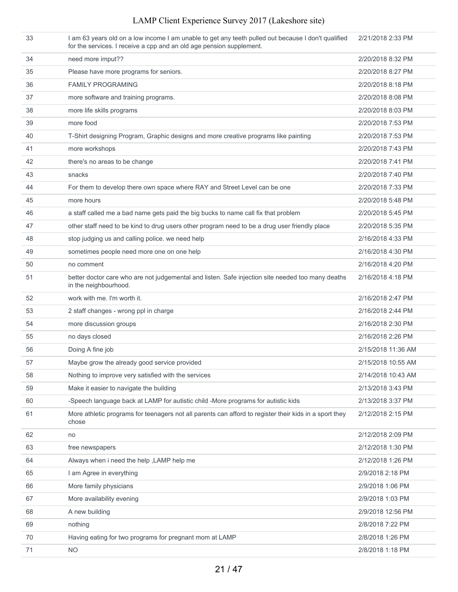| 33 | I am 63 years old on a low income I am unable to get any teeth pulled out because I don't qualified<br>for the services. I receive a cpp and an old age pension supplement. | 2/21/2018 2:33 PM  |
|----|-----------------------------------------------------------------------------------------------------------------------------------------------------------------------------|--------------------|
| 34 | need more imput??                                                                                                                                                           | 2/20/2018 8:32 PM  |
| 35 | Please have more programs for seniors.                                                                                                                                      | 2/20/2018 8:27 PM  |
| 36 | <b>FAMILY PROGRAMING</b>                                                                                                                                                    | 2/20/2018 8:18 PM  |
| 37 | more software and training programs.                                                                                                                                        | 2/20/2018 8:08 PM  |
| 38 | more life skills programs                                                                                                                                                   | 2/20/2018 8:03 PM  |
| 39 | more food                                                                                                                                                                   | 2/20/2018 7:53 PM  |
| 40 | T-Shirt designing Program, Graphic designs and more creative programs like painting                                                                                         | 2/20/2018 7:53 PM  |
| 41 | more workshops                                                                                                                                                              | 2/20/2018 7:43 PM  |
| 42 | there's no areas to be change                                                                                                                                               | 2/20/2018 7:41 PM  |
| 43 | snacks                                                                                                                                                                      | 2/20/2018 7:40 PM  |
| 44 | For them to develop there own space where RAY and Street Level can be one                                                                                                   | 2/20/2018 7:33 PM  |
| 45 | more hours                                                                                                                                                                  | 2/20/2018 5:48 PM  |
| 46 | a staff called me a bad name gets paid the big bucks to name call fix that problem                                                                                          | 2/20/2018 5:45 PM  |
| 47 | other staff need to be kind to drug users other program need to be a drug user friendly place                                                                               | 2/20/2018 5:35 PM  |
| 48 | stop judging us and calling police. we need help                                                                                                                            | 2/16/2018 4:33 PM  |
| 49 | sometimes people need more one on one help                                                                                                                                  | 2/16/2018 4:30 PM  |
| 50 | no comment                                                                                                                                                                  | 2/16/2018 4:20 PM  |
| 51 | better doctor care who are not judgemental and listen. Safe injection site needed too many deaths<br>in the neighbourhood.                                                  | 2/16/2018 4:18 PM  |
| 52 | work with me. I'm worth it.                                                                                                                                                 | 2/16/2018 2:47 PM  |
| 53 | 2 staff changes - wrong ppl in charge                                                                                                                                       | 2/16/2018 2:44 PM  |
| 54 | more discussion groups                                                                                                                                                      | 2/16/2018 2:30 PM  |
| 55 | no days closed                                                                                                                                                              | 2/16/2018 2:26 PM  |
| 56 | Doing A fine job                                                                                                                                                            | 2/15/2018 11:36 AM |
| 57 | Maybe grow the already good service provided                                                                                                                                | 2/15/2018 10:55 AM |
| 58 | Nothing to improve very satisfied with the services                                                                                                                         | 2/14/2018 10:43 AM |
| 59 | Make it easier to navigate the building                                                                                                                                     | 2/13/2018 3:43 PM  |
| 60 | -Speech language back at LAMP for autistic child -More programs for autistic kids                                                                                           | 2/13/2018 3:37 PM  |
| 61 | More athletic programs for teenagers not all parents can afford to register their kids in a sport they<br>chose                                                             | 2/12/2018 2:15 PM  |
| 62 | no                                                                                                                                                                          | 2/12/2018 2:09 PM  |
| 63 | free newspapers                                                                                                                                                             | 2/12/2018 1:30 PM  |
| 64 | Always when i need the help , LAMP help me                                                                                                                                  | 2/12/2018 1:26 PM  |
| 65 | I am Agree in everything                                                                                                                                                    | 2/9/2018 2:18 PM   |
| 66 | More family physicians                                                                                                                                                      | 2/9/2018 1:06 PM   |
| 67 | More availability evening                                                                                                                                                   | 2/9/2018 1:03 PM   |
| 68 | A new building                                                                                                                                                              | 2/9/2018 12:56 PM  |
| 69 | nothing                                                                                                                                                                     | 2/8/2018 7:22 PM   |
| 70 | Having eating for two programs for pregnant mom at LAMP                                                                                                                     | 2/8/2018 1:26 PM   |
| 71 | <b>NO</b>                                                                                                                                                                   | 2/8/2018 1:18 PM   |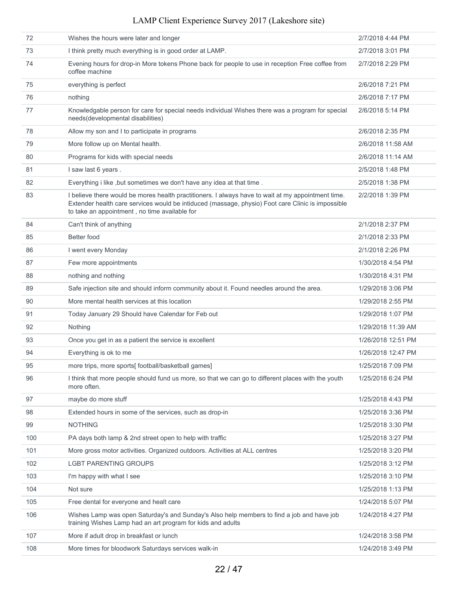| 72  | Wishes the hours were later and longer                                                                                                                                                                                                                   | 2/7/2018 4:44 PM   |
|-----|----------------------------------------------------------------------------------------------------------------------------------------------------------------------------------------------------------------------------------------------------------|--------------------|
| 73  | I think pretty much everything is in good order at LAMP.                                                                                                                                                                                                 | 2/7/2018 3:01 PM   |
| 74  | Evening hours for drop-in More tokens Phone back for people to use in reception Free coffee from<br>coffee machine                                                                                                                                       | 2/7/2018 2:29 PM   |
| 75  | everything is perfect                                                                                                                                                                                                                                    | 2/6/2018 7:21 PM   |
| 76  | nothing                                                                                                                                                                                                                                                  | 2/6/2018 7:17 PM   |
| 77  | Knowledgable person for care for special needs individual Wishes there was a program for special<br>needs(developmental disabilities)                                                                                                                    | 2/6/2018 5:14 PM   |
| 78  | Allow my son and I to participate in programs                                                                                                                                                                                                            | 2/6/2018 2:35 PM   |
| 79  | More follow up on Mental health.                                                                                                                                                                                                                         | 2/6/2018 11:58 AM  |
| 80  | Programs for kids with special needs                                                                                                                                                                                                                     | 2/6/2018 11:14 AM  |
| 81  | I saw last 6 years.                                                                                                                                                                                                                                      | 2/5/2018 1:48 PM   |
| 82  | Everything i like, but sometimes we don't have any idea at that time.                                                                                                                                                                                    | 2/5/2018 1:38 PM   |
| 83  | I believe there would be mores health practitioners. I always have to wait at my appointment time.<br>Extender health care services would be intiduced (massage, physio) Foot care Clinic is impossible<br>to take an appointment, no time available for | 2/2/2018 1:39 PM   |
| 84  | Can't think of anything                                                                                                                                                                                                                                  | 2/1/2018 2:37 PM   |
| 85  | Better food                                                                                                                                                                                                                                              | 2/1/2018 2:33 PM   |
| 86  | I went every Monday                                                                                                                                                                                                                                      | 2/1/2018 2:26 PM   |
| 87  | Few more appointments                                                                                                                                                                                                                                    | 1/30/2018 4:54 PM  |
| 88  | nothing and nothing                                                                                                                                                                                                                                      | 1/30/2018 4:31 PM  |
| 89  | Safe injection site and should inform community about it. Found needles around the area.                                                                                                                                                                 | 1/29/2018 3:06 PM  |
| 90  | More mental health services at this location                                                                                                                                                                                                             | 1/29/2018 2:55 PM  |
| 91  | Today January 29 Should have Calendar for Feb out                                                                                                                                                                                                        | 1/29/2018 1:07 PM  |
| 92  | Nothing                                                                                                                                                                                                                                                  | 1/29/2018 11:39 AM |
| 93  | Once you get in as a patient the service is excellent                                                                                                                                                                                                    | 1/26/2018 12:51 PM |
| 94  | Everything is ok to me                                                                                                                                                                                                                                   | 1/26/2018 12:47 PM |
| 95  | more trips, more sports[ football/basketball games]                                                                                                                                                                                                      | 1/25/2018 7:09 PM  |
| 96  | I think that more people should fund us more, so that we can go to different places with the youth<br>more often.                                                                                                                                        | 1/25/2018 6:24 PM  |
| 97  | maybe do more stuff                                                                                                                                                                                                                                      | 1/25/2018 4:43 PM  |
| 98  | Extended hours in some of the services, such as drop-in                                                                                                                                                                                                  | 1/25/2018 3:36 PM  |
| 99  | <b>NOTHING</b>                                                                                                                                                                                                                                           | 1/25/2018 3:30 PM  |
| 100 | PA days both lamp & 2nd street open to help with traffic                                                                                                                                                                                                 | 1/25/2018 3:27 PM  |
| 101 | More gross motor activities. Organized outdoors. Activities at ALL centres                                                                                                                                                                               | 1/25/2018 3:20 PM  |
| 102 | <b>LGBT PARENTING GROUPS</b>                                                                                                                                                                                                                             | 1/25/2018 3:12 PM  |
| 103 | I'm happy with what I see                                                                                                                                                                                                                                | 1/25/2018 3:10 PM  |
| 104 | Not sure                                                                                                                                                                                                                                                 | 1/25/2018 1:13 PM  |
| 105 | Free dental for everyone and healt care                                                                                                                                                                                                                  | 1/24/2018 5:07 PM  |
| 106 | Wishes Lamp was open Saturday's and Sunday's Also help members to find a job and have job<br>training Wishes Lamp had an art program for kids and adults                                                                                                 | 1/24/2018 4:27 PM  |
| 107 | More if adult drop in breakfast or lunch                                                                                                                                                                                                                 | 1/24/2018 3:58 PM  |
| 108 | More times for bloodwork Saturdays services walk-in                                                                                                                                                                                                      | 1/24/2018 3:49 PM  |
|     |                                                                                                                                                                                                                                                          |                    |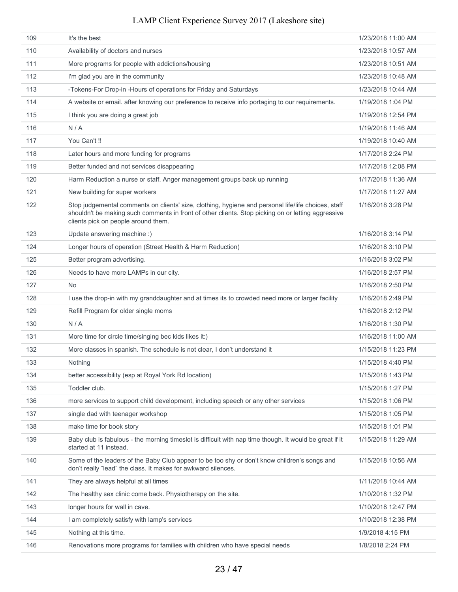| 109 | It's the best                                                                                                                                                                                                                                    | 1/23/2018 11:00 AM |
|-----|--------------------------------------------------------------------------------------------------------------------------------------------------------------------------------------------------------------------------------------------------|--------------------|
| 110 | Availability of doctors and nurses                                                                                                                                                                                                               | 1/23/2018 10:57 AM |
| 111 | More programs for people with addictions/housing                                                                                                                                                                                                 | 1/23/2018 10:51 AM |
| 112 | I'm glad you are in the community                                                                                                                                                                                                                | 1/23/2018 10:48 AM |
| 113 | -Tokens-For Drop-in -Hours of operations for Friday and Saturdays                                                                                                                                                                                | 1/23/2018 10:44 AM |
| 114 | A website or email. after knowing our preference to receive info portaging to our requirements.                                                                                                                                                  | 1/19/2018 1:04 PM  |
| 115 | I think you are doing a great job                                                                                                                                                                                                                | 1/19/2018 12:54 PM |
| 116 | N/A                                                                                                                                                                                                                                              | 1/19/2018 11:46 AM |
| 117 | You Can't !!                                                                                                                                                                                                                                     | 1/19/2018 10:40 AM |
| 118 | Later hours and more funding for programs                                                                                                                                                                                                        | 1/17/2018 2:24 PM  |
| 119 | Better funded and not services disappearing                                                                                                                                                                                                      | 1/17/2018 12:08 PM |
| 120 | Harm Reduction a nurse or staff. Anger management groups back up running                                                                                                                                                                         | 1/17/2018 11:36 AM |
| 121 | New building for super workers                                                                                                                                                                                                                   | 1/17/2018 11:27 AM |
| 122 | Stop judgemental comments on clients' size, clothing, hygiene and personal life/life choices, staff<br>shouldn't be making such comments in front of other clients. Stop picking on or letting aggressive<br>clients pick on people around them. | 1/16/2018 3:28 PM  |
| 123 | Update answering machine :)                                                                                                                                                                                                                      | 1/16/2018 3:14 PM  |
| 124 | Longer hours of operation (Street Health & Harm Reduction)                                                                                                                                                                                       | 1/16/2018 3:10 PM  |
| 125 | Better program advertising.                                                                                                                                                                                                                      | 1/16/2018 3:02 PM  |
| 126 | Needs to have more LAMPs in our city.                                                                                                                                                                                                            | 1/16/2018 2:57 PM  |
| 127 | No                                                                                                                                                                                                                                               | 1/16/2018 2:50 PM  |
| 128 | I use the drop-in with my granddaughter and at times its to crowded need more or larger facility                                                                                                                                                 | 1/16/2018 2:49 PM  |
| 129 | Refill Program for older single moms                                                                                                                                                                                                             | 1/16/2018 2:12 PM  |
| 130 | N/A                                                                                                                                                                                                                                              | 1/16/2018 1:30 PM  |
| 131 | More time for circle time/singing bec kids likes it:)                                                                                                                                                                                            | 1/16/2018 11:00 AM |
| 132 | More classes in spanish. The schedule is not clear, I don't understand it                                                                                                                                                                        | 1/15/2018 11:23 PM |
| 133 | Nothing                                                                                                                                                                                                                                          | 1/15/2018 4:40 PM  |
| 134 | better accessibility (esp at Royal York Rd location)                                                                                                                                                                                             | 1/15/2018 1:43 PM  |
| 135 | Toddler club.                                                                                                                                                                                                                                    | 1/15/2018 1:27 PM  |
| 136 | more services to support child development, including speech or any other services                                                                                                                                                               | 1/15/2018 1:06 PM  |
| 137 | single dad with teenager workshop                                                                                                                                                                                                                | 1/15/2018 1:05 PM  |
| 138 | make time for book story                                                                                                                                                                                                                         | 1/15/2018 1:01 PM  |
| 139 | Baby club is fabulous - the morning timeslot is difficult with nap time though. It would be great if it<br>started at 11 instead.                                                                                                                | 1/15/2018 11:29 AM |
| 140 | Some of the leaders of the Baby Club appear to be too shy or don't know children's songs and<br>don't really "lead" the class. It makes for awkward silences.                                                                                    | 1/15/2018 10:56 AM |
| 141 | They are always helpful at all times                                                                                                                                                                                                             | 1/11/2018 10:44 AM |
| 142 | The healthy sex clinic come back. Physiotherapy on the site.                                                                                                                                                                                     | 1/10/2018 1:32 PM  |
| 143 | longer hours for wall in cave.                                                                                                                                                                                                                   | 1/10/2018 12:47 PM |
| 144 | I am completely satisfy with lamp's services                                                                                                                                                                                                     | 1/10/2018 12:38 PM |
| 145 | Nothing at this time.                                                                                                                                                                                                                            | 1/9/2018 4:15 PM   |
| 146 | Renovations more programs for families with children who have special needs                                                                                                                                                                      | 1/8/2018 2:24 PM   |
|     |                                                                                                                                                                                                                                                  |                    |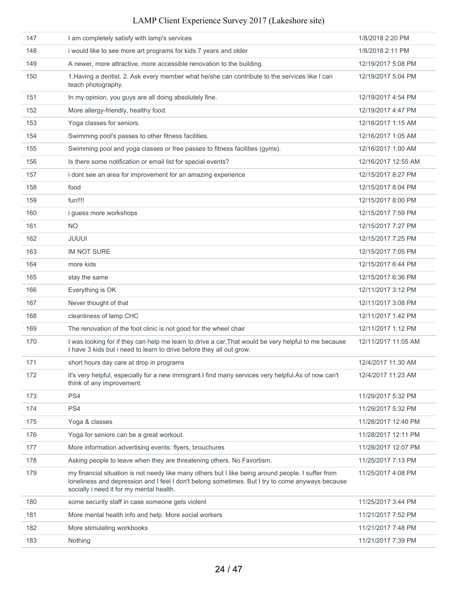| 147 | I am completely satisfy with lamp's services                                                                                                                                                                                                       | 1/8/2018 2:20 PM    |
|-----|----------------------------------------------------------------------------------------------------------------------------------------------------------------------------------------------------------------------------------------------------|---------------------|
| 148 | i would like to see more art programs for kids 7 years and older                                                                                                                                                                                   | 1/8/2018 2:11 PM    |
| 149 | A newer, more attractive, more accessible renovation to the building.                                                                                                                                                                              | 12/19/2017 5:08 PM  |
| 150 | 1. Having a dentist. 2. Ask every member what he/she can contribute to the services like I can<br>teach photography.                                                                                                                               | 12/19/2017 5:04 PM  |
| 151 | In my opinion, you guys are all doing absolutely fine.                                                                                                                                                                                             | 12/19/2017 4:54 PM  |
| 152 | More allergy-friendly, healthy food.                                                                                                                                                                                                               | 12/19/2017 4:47 PM  |
| 153 | Yoga classes for seniors.                                                                                                                                                                                                                          | 12/16/2017 1:15 AM  |
| 154 | Swimming pool's passes to other fitness facilities.                                                                                                                                                                                                | 12/16/2017 1:05 AM  |
| 155 | Swimming pool and yoga classes or free passes to fitness facilities (gyms).                                                                                                                                                                        | 12/16/2017 1:00 AM  |
| 156 | Is there some notification or email list for special events?                                                                                                                                                                                       | 12/16/2017 12:55 AM |
| 157 | i dont see an area for improvement for an amazing experience                                                                                                                                                                                       | 12/15/2017 8:27 PM  |
| 158 | food                                                                                                                                                                                                                                               | 12/15/2017 8:04 PM  |
| 159 | fun!!!!                                                                                                                                                                                                                                            | 12/15/2017 8:00 PM  |
| 160 | <i>i</i> quess more workshops                                                                                                                                                                                                                      | 12/15/2017 7:59 PM  |
| 161 | NO.                                                                                                                                                                                                                                                | 12/15/2017 7:27 PM  |
| 162 | JUUUI                                                                                                                                                                                                                                              | 12/15/2017 7:25 PM  |
| 163 | <b>IM NOT SURE</b>                                                                                                                                                                                                                                 | 12/15/2017 7:05 PM  |
| 164 | more kids                                                                                                                                                                                                                                          | 12/15/2017 6:44 PM  |
| 165 | stay the same                                                                                                                                                                                                                                      | 12/15/2017 6:36 PM  |
| 166 | Everything is OK                                                                                                                                                                                                                                   | 12/11/2017 3:12 PM  |
| 167 | Never thought of that                                                                                                                                                                                                                              | 12/11/2017 3:08 PM  |
| 168 | cleanliness of lamp CHC                                                                                                                                                                                                                            | 12/11/2017 1:42 PM  |
| 169 | The renovation of the foot clinic is not good for the wheel chair                                                                                                                                                                                  | 12/11/2017 1:12 PM  |
| 170 | I was looking for if they can help me learn to drive a car, That would be very helpful to me because<br>I have 3 kids but i need to learn to drive before they all out grow.                                                                       | 12/11/2017 11:05 AM |
| 171 | short hours day care at drop in programs                                                                                                                                                                                                           | 12/4/2017 11:30 AM  |
| 172 | it's very helpful, especially for a new immigrant. I find many services very helpful. As of now can't<br>think of any improvement.                                                                                                                 | 12/4/2017 11:23 AM  |
| 173 | PS4                                                                                                                                                                                                                                                | 11/29/2017 5:32 PM  |
| 174 | PS4                                                                                                                                                                                                                                                | 11/29/2017 5:32 PM  |
| 175 | Yoga & classes                                                                                                                                                                                                                                     | 11/28/2017 12:40 PM |
| 176 | Yoga for seniors can be a great workout.                                                                                                                                                                                                           | 11/28/2017 12:11 PM |
| 177 | More information advertising events: flyers, brouchures                                                                                                                                                                                            | 11/28/2017 12:07 PM |
| 178 | Asking people to leave when they are threatening others. No Favortism.                                                                                                                                                                             | 11/25/2017 7:13 PM  |
| 179 | my financial situation is not needy like many others but I like being around people. I suffer from<br>loneliness and depression and I feel I don't belong sometimes. But I try to come anyways because<br>socially i need it for my mental health. | 11/25/2017 4:08 PM  |
| 180 | some security staff in case someone gets violent                                                                                                                                                                                                   | 11/25/2017 3:44 PM  |
| 181 | More mental health info and help. More social workers                                                                                                                                                                                              | 11/21/2017 7:52 PM  |
| 182 | More stimulating workbooks                                                                                                                                                                                                                         | 11/21/2017 7:48 PM  |
| 183 | Nothing                                                                                                                                                                                                                                            | 11/21/2017 7:39 PM  |
|     |                                                                                                                                                                                                                                                    |                     |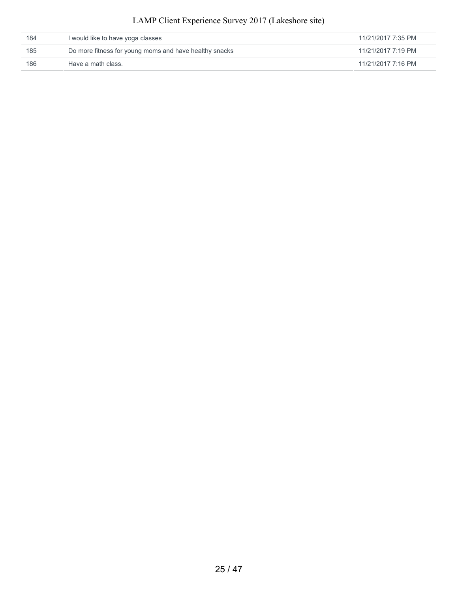| 184 | I would like to have yoga classes                      | 11/21/2017 7:35 PM |
|-----|--------------------------------------------------------|--------------------|
| 185 | Do more fitness for young moms and have healthy snacks | 11/21/2017 7:19 PM |
| 186 | Have a math class.                                     | 11/21/2017 7:16 PM |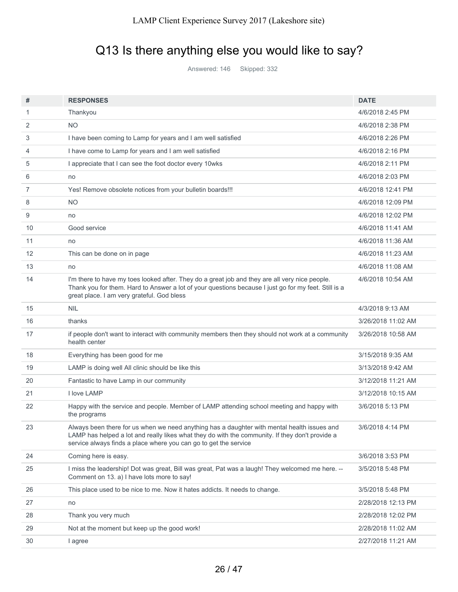# Q13 Is there anything else you would like to say?

Answered: 146 Skipped: 332

| #                 | <b>RESPONSES</b>                                                                                                                                                                                                                                                   | <b>DATE</b>        |
|-------------------|--------------------------------------------------------------------------------------------------------------------------------------------------------------------------------------------------------------------------------------------------------------------|--------------------|
| 1                 | Thankyou                                                                                                                                                                                                                                                           | 4/6/2018 2:45 PM   |
| 2                 | <b>NO</b>                                                                                                                                                                                                                                                          | 4/6/2018 2:38 PM   |
| 3                 | I have been coming to Lamp for years and I am well satisfied                                                                                                                                                                                                       | 4/6/2018 2:26 PM   |
| 4                 | I have come to Lamp for years and I am well satisfied                                                                                                                                                                                                              | 4/6/2018 2:16 PM   |
| 5                 | I appreciate that I can see the foot doctor every 10wks                                                                                                                                                                                                            | 4/6/2018 2:11 PM   |
| 6                 | no                                                                                                                                                                                                                                                                 | 4/6/2018 2:03 PM   |
| 7                 | Yes! Remove obsolete notices from your bulletin boards!!!                                                                                                                                                                                                          | 4/6/2018 12:41 PM  |
| 8                 | <b>NO</b>                                                                                                                                                                                                                                                          | 4/6/2018 12:09 PM  |
| 9                 | no                                                                                                                                                                                                                                                                 | 4/6/2018 12:02 PM  |
| 10                | Good service                                                                                                                                                                                                                                                       | 4/6/2018 11:41 AM  |
| 11                | no                                                                                                                                                                                                                                                                 | 4/6/2018 11:36 AM  |
| $12 \overline{ }$ | This can be done on in page                                                                                                                                                                                                                                        | 4/6/2018 11:23 AM  |
| 13                | no                                                                                                                                                                                                                                                                 | 4/6/2018 11:08 AM  |
| 14                | I'm there to have my toes looked after. They do a great job and they are all very nice people.<br>Thank you for them. Hard to Answer a lot of your questions because I just go for my feet. Still is a<br>great place. I am very grateful. God bless               | 4/6/2018 10:54 AM  |
| 15                | NIL                                                                                                                                                                                                                                                                | 4/3/2018 9:13 AM   |
| 16                | thanks                                                                                                                                                                                                                                                             | 3/26/2018 11:02 AM |
| 17                | if people don't want to interact with community members then they should not work at a community<br>health center                                                                                                                                                  | 3/26/2018 10:58 AM |
| 18                | Everything has been good for me                                                                                                                                                                                                                                    | 3/15/2018 9:35 AM  |
| 19                | LAMP is doing well All clinic should be like this                                                                                                                                                                                                                  | 3/13/2018 9:42 AM  |
| 20                | Fantastic to have Lamp in our community                                                                                                                                                                                                                            | 3/12/2018 11:21 AM |
| 21                | I love LAMP                                                                                                                                                                                                                                                        | 3/12/2018 10:15 AM |
| 22                | Happy with the service and people. Member of LAMP attending school meeting and happy with<br>the programs                                                                                                                                                          | 3/6/2018 5:13 PM   |
| 23                | Always been there for us when we need anything has a daughter with mental health issues and<br>LAMP has helped a lot and really likes what they do with the community. If they don't provide a<br>service always finds a place where you can go to get the service | 3/6/2018 4:14 PM   |
| 24                | Coming here is easy.                                                                                                                                                                                                                                               | 3/6/2018 3:53 PM   |
| 25                | I miss the leadership! Dot was great, Bill was great, Pat was a laugh! They welcomed me here. --<br>Comment on 13. a) I have lots more to say!                                                                                                                     | 3/5/2018 5:48 PM   |
| 26                | This place used to be nice to me. Now it hates addicts. It needs to change.                                                                                                                                                                                        | 3/5/2018 5:48 PM   |
| 27                | no                                                                                                                                                                                                                                                                 | 2/28/2018 12:13 PM |
| 28                | Thank you very much                                                                                                                                                                                                                                                | 2/28/2018 12:02 PM |
| 29                | Not at the moment but keep up the good work!                                                                                                                                                                                                                       | 2/28/2018 11:02 AM |
| 30                | I agree                                                                                                                                                                                                                                                            | 2/27/2018 11:21 AM |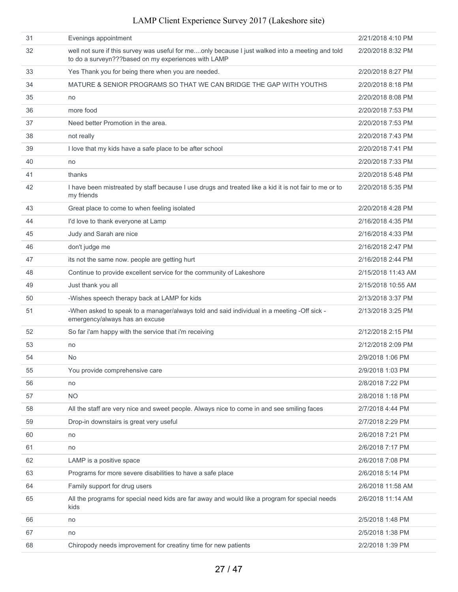|  |  |  |  |  |  | LAMP Client Experience Survey 2017 (Lakeshore site) |  |
|--|--|--|--|--|--|-----------------------------------------------------|--|
|--|--|--|--|--|--|-----------------------------------------------------|--|

| 31 | Evenings appointment                                                                                                                                    | 2/21/2018 4:10 PM  |
|----|---------------------------------------------------------------------------------------------------------------------------------------------------------|--------------------|
| 32 | well not sure if this survey was useful for meonly because I just walked into a meeting and told<br>to do a surveyn???based on my experiences with LAMP | 2/20/2018 8:32 PM  |
| 33 | Yes Thank you for being there when you are needed.                                                                                                      | 2/20/2018 8:27 PM  |
| 34 | MATURE & SENIOR PROGRAMS SO THAT WE CAN BRIDGE THE GAP WITH YOUTHS                                                                                      | 2/20/2018 8:18 PM  |
| 35 | no                                                                                                                                                      | 2/20/2018 8:08 PM  |
| 36 | more food                                                                                                                                               | 2/20/2018 7:53 PM  |
| 37 | Need better Promotion in the area.                                                                                                                      | 2/20/2018 7:53 PM  |
| 38 | not really                                                                                                                                              | 2/20/2018 7:43 PM  |
| 39 | I love that my kids have a safe place to be after school                                                                                                | 2/20/2018 7:41 PM  |
| 40 | no                                                                                                                                                      | 2/20/2018 7:33 PM  |
| 41 | thanks                                                                                                                                                  | 2/20/2018 5:48 PM  |
| 42 | I have been mistreated by staff because I use drugs and treated like a kid it is not fair to me or to<br>my friends                                     | 2/20/2018 5:35 PM  |
| 43 | Great place to come to when feeling isolated                                                                                                            | 2/20/2018 4:28 PM  |
| 44 | I'd love to thank everyone at Lamp                                                                                                                      | 2/16/2018 4:35 PM  |
| 45 | Judy and Sarah are nice                                                                                                                                 | 2/16/2018 4:33 PM  |
| 46 | don't judge me                                                                                                                                          | 2/16/2018 2:47 PM  |
| 47 | its not the same now. people are getting hurt                                                                                                           | 2/16/2018 2:44 PM  |
| 48 | Continue to provide excellent service for the community of Lakeshore                                                                                    | 2/15/2018 11:43 AM |
| 49 | Just thank you all                                                                                                                                      | 2/15/2018 10:55 AM |
| 50 | -Wishes speech therapy back at LAMP for kids                                                                                                            | 2/13/2018 3:37 PM  |
| 51 | -When asked to speak to a manager/always told and said individual in a meeting -Off sick -<br>emergency/always has an excuse                            | 2/13/2018 3:25 PM  |
| 52 | So far i'am happy with the service that i'm receiving                                                                                                   | 2/12/2018 2:15 PM  |
| 53 | no                                                                                                                                                      | 2/12/2018 2:09 PM  |
| 54 | N <sub>o</sub>                                                                                                                                          | 2/9/2018 1:06 PM   |
| 55 | You provide comprehensive care                                                                                                                          | 2/9/2018 1:03 PM   |
| 56 | no                                                                                                                                                      | 2/8/2018 7:22 PM   |
| 57 | <b>NO</b>                                                                                                                                               | 2/8/2018 1:18 PM   |
| 58 | All the staff are very nice and sweet people. Always nice to come in and see smiling faces                                                              | 2/7/2018 4:44 PM   |
| 59 | Drop-in downstairs is great very useful                                                                                                                 | 2/7/2018 2:29 PM   |
| 60 | no                                                                                                                                                      | 2/6/2018 7:21 PM   |
| 61 | no                                                                                                                                                      | 2/6/2018 7:17 PM   |
| 62 | LAMP is a positive space                                                                                                                                | 2/6/2018 7:08 PM   |
| 63 | Programs for more severe disabilities to have a safe place                                                                                              | 2/6/2018 5:14 PM   |
| 64 | Family support for drug users                                                                                                                           | 2/6/2018 11:58 AM  |
| 65 | All the programs for special need kids are far away and would like a program for special needs<br>kids                                                  | 2/6/2018 11:14 AM  |
| 66 | no                                                                                                                                                      | 2/5/2018 1:48 PM   |
| 67 | no                                                                                                                                                      | 2/5/2018 1:38 PM   |
| 68 | Chiropody needs improvement for creatiny time for new patients                                                                                          | 2/2/2018 1:39 PM   |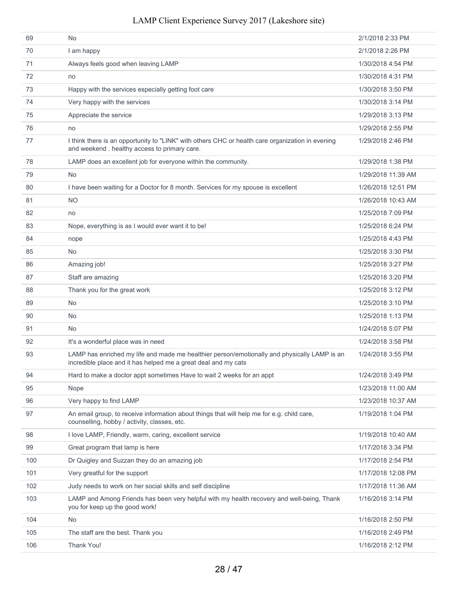| 69  | N <sub>o</sub>                                                                                                                                                 | 2/1/2018 2:33 PM   |
|-----|----------------------------------------------------------------------------------------------------------------------------------------------------------------|--------------------|
| 70  | I am happy                                                                                                                                                     | 2/1/2018 2:26 PM   |
| 71  | Always feels good when leaving LAMP                                                                                                                            | 1/30/2018 4:54 PM  |
| 72  | no                                                                                                                                                             | 1/30/2018 4:31 PM  |
| 73  | Happy with the services especially getting foot care                                                                                                           | 1/30/2018 3:50 PM  |
| 74  | Very happy with the services                                                                                                                                   | 1/30/2018 3:14 PM  |
| 75  | Appreciate the service                                                                                                                                         | 1/29/2018 3:13 PM  |
| 76  | no                                                                                                                                                             | 1/29/2018 2:55 PM  |
| 77  | I think there is an opportunity to "LINK" with others CHC or health care organization in evening<br>and weekend. healthy access to primary care.               | 1/29/2018 2:46 PM  |
| 78  | LAMP does an excellent job for everyone within the community.                                                                                                  | 1/29/2018 1:38 PM  |
| 79  | No                                                                                                                                                             | 1/29/2018 11:39 AM |
| 80  | I have been waiting for a Doctor for 8 month. Services for my spouse is excellent                                                                              | 1/26/2018 12:51 PM |
| 81  | <b>NO</b>                                                                                                                                                      | 1/26/2018 10:43 AM |
| 82  | no                                                                                                                                                             | 1/25/2018 7:09 PM  |
| 83  | Nope, everything is as I would ever want it to be!                                                                                                             | 1/25/2018 6:24 PM  |
| 84  | nope                                                                                                                                                           | 1/25/2018 4:43 PM  |
| 85  | <b>No</b>                                                                                                                                                      | 1/25/2018 3:30 PM  |
| 86  | Amazing job!                                                                                                                                                   | 1/25/2018 3:27 PM  |
| 87  | Staff are amazing                                                                                                                                              | 1/25/2018 3:20 PM  |
| 88  | Thank you for the great work                                                                                                                                   | 1/25/2018 3:12 PM  |
| 89  | <b>No</b>                                                                                                                                                      | 1/25/2018 3:10 PM  |
| 90  | No                                                                                                                                                             | 1/25/2018 1:13 PM  |
| 91  | <b>No</b>                                                                                                                                                      | 1/24/2018 5:07 PM  |
| 92  | It's a wonderful place was in need                                                                                                                             | 1/24/2018 3:58 PM  |
| 93  | LAMP has enriched my life and made me healthier person/emotionally and physically LAMP is an<br>incredible place and it has helped me a great deal and my cats | 1/24/2018 3:55 PM  |
| 94  | Hard to make a doctor appt sometimes Have to wait 2 weeks for an appt                                                                                          | 1/24/2018 3:49 PM  |
| 95  | Nope                                                                                                                                                           | 1/23/2018 11:00 AM |
| 96  | Very happy to find LAMP                                                                                                                                        | 1/23/2018 10:37 AM |
| 97  | An email group, to receive information about things that will help me for e.g. child care,<br>counselling, hobby / activity, classes, etc.                     | 1/19/2018 1:04 PM  |
| 98  | I love LAMP, Friendly, warm, caring, excellent service                                                                                                         | 1/19/2018 10:40 AM |
| 99  | Great program that lamp is here                                                                                                                                | 1/17/2018 3:34 PM  |
| 100 | Dr Quigley and Suzzan they do an amazing job                                                                                                                   | 1/17/2018 2:54 PM  |
| 101 | Very greatful for the support                                                                                                                                  | 1/17/2018 12:08 PM |
| 102 | Judy needs to work on her social skills and self discipline                                                                                                    | 1/17/2018 11:36 AM |
| 103 | LAMP and Among Friends has been very helpful with my health recovery and well-being, Thank<br>you for keep up the good work!                                   | 1/16/2018 3:14 PM  |
| 104 | No                                                                                                                                                             | 1/16/2018 2:50 PM  |
| 105 | The staff are the best. Thank you                                                                                                                              | 1/16/2018 2:49 PM  |
| 106 | Thank You!                                                                                                                                                     | 1/16/2018 2:12 PM  |
|     |                                                                                                                                                                |                    |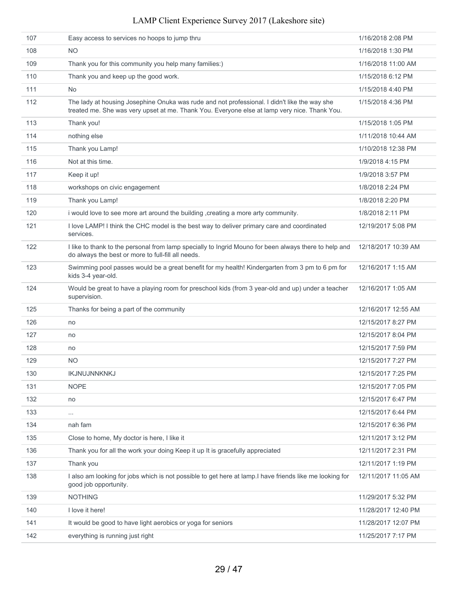| 107 | Easy access to services no hoops to jump thru                                                                                                                                                | 1/16/2018 2:08 PM   |
|-----|----------------------------------------------------------------------------------------------------------------------------------------------------------------------------------------------|---------------------|
| 108 | NO.                                                                                                                                                                                          | 1/16/2018 1:30 PM   |
| 109 | Thank you for this community you help many families:)                                                                                                                                        | 1/16/2018 11:00 AM  |
| 110 | Thank you and keep up the good work.                                                                                                                                                         | 1/15/2018 6:12 PM   |
| 111 | <b>No</b>                                                                                                                                                                                    | 1/15/2018 4:40 PM   |
| 112 | The lady at housing Josephine Onuka was rude and not professional. I didn't like the way she<br>treated me. She was very upset at me. Thank You. Everyone else at lamp very nice. Thank You. | 1/15/2018 4:36 PM   |
| 113 | Thank you!                                                                                                                                                                                   | 1/15/2018 1:05 PM   |
| 114 | nothing else                                                                                                                                                                                 | 1/11/2018 10:44 AM  |
| 115 | Thank you Lamp!                                                                                                                                                                              | 1/10/2018 12:38 PM  |
| 116 | Not at this time.                                                                                                                                                                            | 1/9/2018 4:15 PM    |
| 117 | Keep it up!                                                                                                                                                                                  | 1/9/2018 3:57 PM    |
| 118 | workshops on civic engagement                                                                                                                                                                | 1/8/2018 2:24 PM    |
| 119 | Thank you Lamp!                                                                                                                                                                              | 1/8/2018 2:20 PM    |
| 120 | i would love to see more art around the building, creating a more arty community.                                                                                                            | 1/8/2018 2:11 PM    |
| 121 | I love LAMP! I think the CHC model is the best way to deliver primary care and coordinated<br>services.                                                                                      | 12/19/2017 5:08 PM  |
| 122 | I like to thank to the personal from lamp specially to Ingrid Mouno for been always there to help and<br>do always the best or more to full-fill all needs.                                  | 12/18/2017 10:39 AM |
| 123 | Swimming pool passes would be a great benefit for my health! Kindergarten from 3 pm to 6 pm for<br>kids 3-4 year-old.                                                                        | 12/16/2017 1:15 AM  |
| 124 | Would be great to have a playing room for preschool kids (from 3 year-old and up) under a teacher<br>supervision.                                                                            | 12/16/2017 1:05 AM  |
| 125 | Thanks for being a part of the community                                                                                                                                                     | 12/16/2017 12:55 AM |
| 126 | no                                                                                                                                                                                           | 12/15/2017 8:27 PM  |
| 127 | no                                                                                                                                                                                           | 12/15/2017 8:04 PM  |
| 128 | no                                                                                                                                                                                           | 12/15/2017 7:59 PM  |
| 129 | <b>NO</b>                                                                                                                                                                                    | 12/15/2017 7:27 PM  |
| 130 | IKJNUJNNKNKJ                                                                                                                                                                                 | 12/15/2017 7:25 PM  |
| 131 | <b>NOPE</b>                                                                                                                                                                                  | 12/15/2017 7:05 PM  |
| 132 | no                                                                                                                                                                                           | 12/15/2017 6:47 PM  |
| 133 | $\cdots$                                                                                                                                                                                     | 12/15/2017 6:44 PM  |
| 134 | nah fam                                                                                                                                                                                      | 12/15/2017 6:36 PM  |
| 135 | Close to home, My doctor is here, I like it                                                                                                                                                  | 12/11/2017 3:12 PM  |
| 136 | Thank you for all the work your doing Keep it up It is gracefully appreciated                                                                                                                | 12/11/2017 2:31 PM  |
| 137 | Thank you                                                                                                                                                                                    | 12/11/2017 1:19 PM  |
| 138 | I also am looking for jobs which is not possible to get here at lamp. I have friends like me looking for<br>good job opportunity.                                                            | 12/11/2017 11:05 AM |
| 139 | <b>NOTHING</b>                                                                                                                                                                               | 11/29/2017 5:32 PM  |
| 140 | I love it here!                                                                                                                                                                              | 11/28/2017 12:40 PM |
| 141 | It would be good to have light aerobics or yoga for seniors                                                                                                                                  | 11/28/2017 12:07 PM |
| 142 | everything is running just right                                                                                                                                                             | 11/25/2017 7:17 PM  |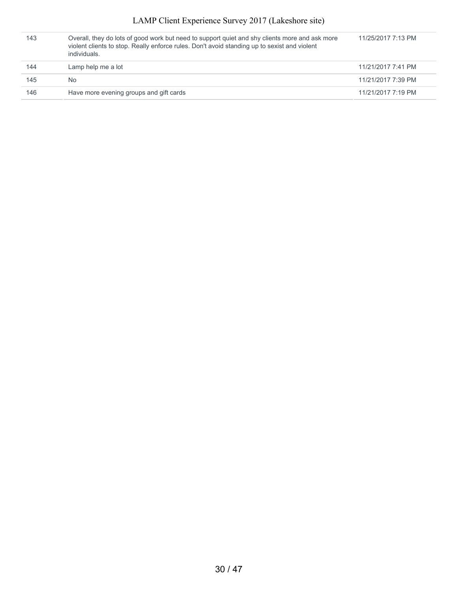| 143 | Overall, they do lots of good work but need to support quiet and shy clients more and ask more<br>violent clients to stop. Really enforce rules. Don't avoid standing up to sexist and violent<br>individuals. | 11/25/2017 7:13 PM |
|-----|----------------------------------------------------------------------------------------------------------------------------------------------------------------------------------------------------------------|--------------------|
| 144 | Lamp help me a lot                                                                                                                                                                                             | 11/21/2017 7:41 PM |
| 145 | No.                                                                                                                                                                                                            | 11/21/2017 7:39 PM |
| 146 | Have more evening groups and gift cards                                                                                                                                                                        | 11/21/2017 7:19 PM |
|     |                                                                                                                                                                                                                |                    |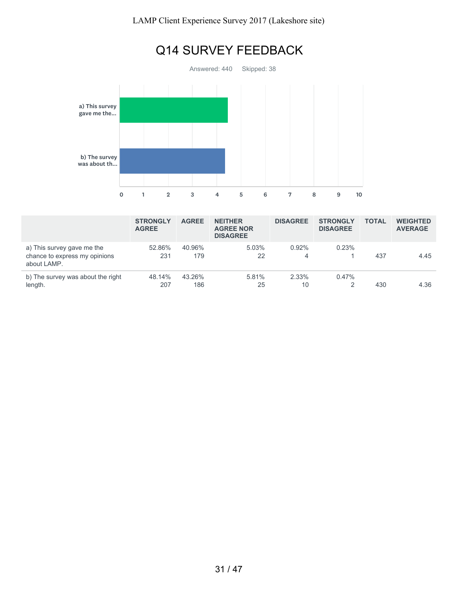

|                                                                            | <b>STRONGLY</b><br><b>AGREE</b> | <b>AGREE</b>  | <b>NEITHER</b><br><b>AGREE NOR</b><br><b>DISAGREE</b> | <b>DISAGREE</b> | <b>STRONGLY</b><br><b>DISAGREE</b> | <b>TOTAL</b> | <b>WEIGHTED</b><br><b>AVERAGE</b> |
|----------------------------------------------------------------------------|---------------------------------|---------------|-------------------------------------------------------|-----------------|------------------------------------|--------------|-----------------------------------|
| a) This survey gave me the<br>chance to express my opinions<br>about LAMP. | 52.86%<br>231                   | 40.96%<br>179 | 5.03%<br>22                                           | 0.92%<br>4      | 0.23%                              | 437          | 4.45                              |
| b) The survey was about the right<br>length.                               | 48.14%<br>207                   | 43.26%<br>186 | 5.81%<br>25                                           | 2.33%<br>10     | $0.47\%$                           | 430          | 4.36                              |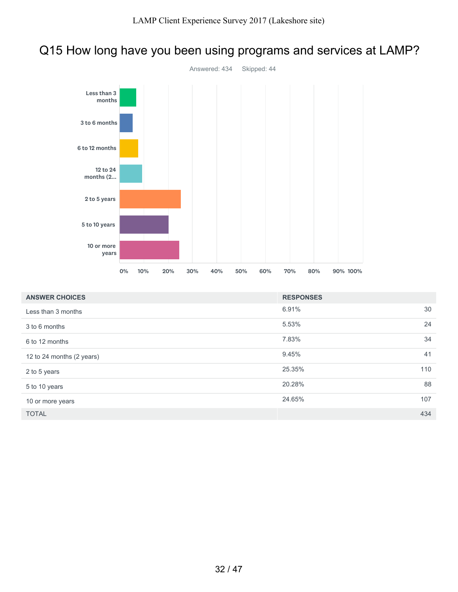### Q15 How long have you been using programs and services at LAMP?



| <b>ANSWER CHOICES</b>     | <b>RESPONSES</b> |     |
|---------------------------|------------------|-----|
| Less than 3 months        | 6.91%            | 30  |
| 3 to 6 months             | 5.53%            | 24  |
| 6 to 12 months            | 7.83%            | 34  |
| 12 to 24 months (2 years) | 9.45%            | 41  |
| 2 to 5 years              | 25.35%           | 110 |
| 5 to 10 years             | 20.28%           | 88  |
| 10 or more years          | 24.65%           | 107 |
| <b>TOTAL</b>              |                  | 434 |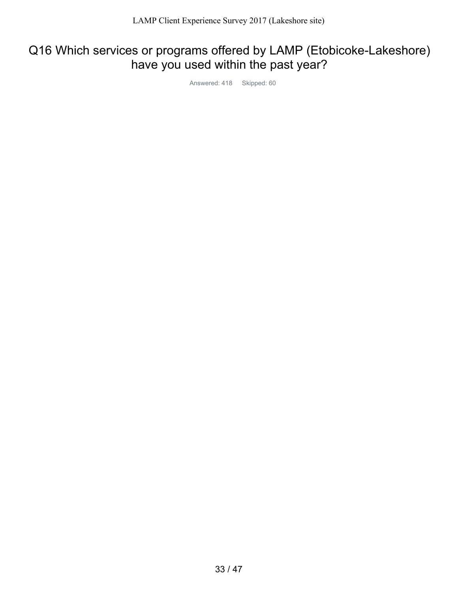## Q16 Which services or programs offered by LAMP (Etobicoke-Lakeshore) have you used within the past year?

Answered: 418 Skipped: 60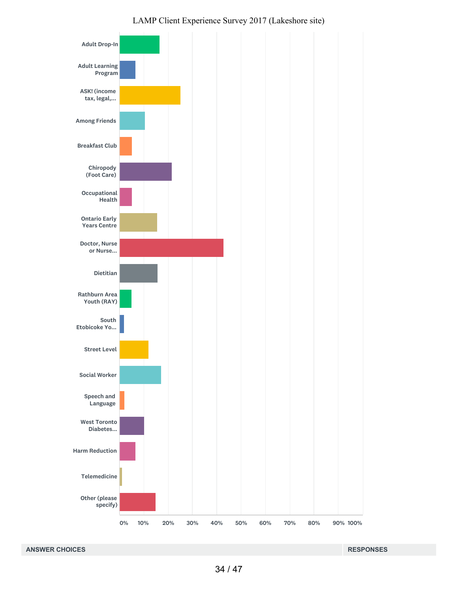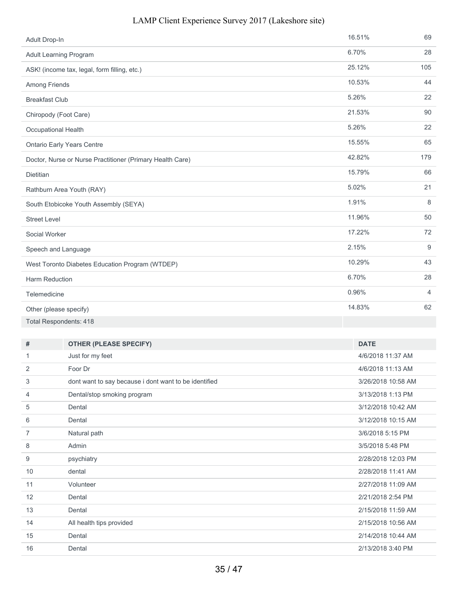| Adult Drop-In          |                                                           | 16.51%             | 69             |
|------------------------|-----------------------------------------------------------|--------------------|----------------|
|                        | <b>Adult Learning Program</b>                             | 6.70%              | 28             |
|                        | ASK! (income tax, legal, form filling, etc.)              | 25.12%             | 105            |
| Among Friends          |                                                           | 10.53%             | 44             |
| <b>Breakfast Club</b>  |                                                           | 5.26%              | 22             |
| Chiropody (Foot Care)  |                                                           | 21.53%             | 90             |
| Occupational Health    |                                                           | 5.26%              | 22             |
|                        | <b>Ontario Early Years Centre</b>                         | 15.55%             | 65             |
|                        | Doctor, Nurse or Nurse Practitioner (Primary Health Care) | 42.82%             | 179            |
| <b>Dietitian</b>       |                                                           | 15.79%             | 66             |
|                        | Rathburn Area Youth (RAY)                                 | 5.02%              | 21             |
|                        |                                                           | 1.91%              | $\,8\,$        |
|                        | South Etobicoke Youth Assembly (SEYA)                     |                    |                |
| <b>Street Level</b>    |                                                           | 11.96%             | 50             |
| Social Worker          |                                                           | 17.22%             | 72             |
| Speech and Language    |                                                           | 2.15%              | 9              |
|                        | West Toronto Diabetes Education Program (WTDEP)           | 10.29%             | 43             |
| Harm Reduction         |                                                           | 6.70%              | 28             |
| Telemedicine           |                                                           | 0.96%              | $\overline{4}$ |
| Other (please specify) |                                                           | 14.83%             | 62             |
|                        | <b>Total Respondents: 418</b>                             |                    |                |
|                        |                                                           |                    |                |
| #                      | <b>OTHER (PLEASE SPECIFY)</b>                             | <b>DATE</b>        |                |
| 1                      | Just for my feet                                          | 4/6/2018 11:37 AM  |                |
| 2                      | Foor Dr                                                   | 4/6/2018 11:13 AM  |                |
| 3                      | dont want to say because i dont want to be identified     | 3/26/2018 10:58 AM |                |
| 4                      | Dental/stop smoking program                               | 3/13/2018 1:13 PM  |                |
| 5                      | Dental                                                    | 3/12/2018 10:42 AM |                |
| 6                      | Dental                                                    | 3/12/2018 10:15 AM |                |
| 7                      | Natural path                                              | 3/6/2018 5:15 PM   |                |
| 8                      | Admin                                                     | 3/5/2018 5:48 PM   |                |
| 9                      | psychiatry                                                | 2/28/2018 12:03 PM |                |
| $10$                   | dental                                                    | 2/28/2018 11:41 AM |                |
| 11                     | Volunteer                                                 | 2/27/2018 11:09 AM |                |
| 12                     | Dental                                                    | 2/21/2018 2:54 PM  |                |
| 13                     | Dental                                                    | 2/15/2018 11:59 AM |                |
| 14                     | All health tips provided                                  | 2/15/2018 10:56 AM |                |
| 15                     | Dental                                                    | 2/14/2018 10:44 AM |                |
| 16                     | Dental                                                    | 2/13/2018 3:40 PM  |                |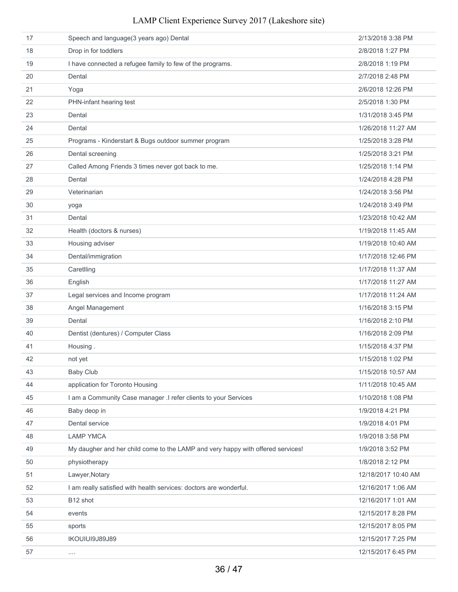| 17 | Speech and language(3 years ago) Dental                                         | 2/13/2018 3:38 PM   |
|----|---------------------------------------------------------------------------------|---------------------|
| 18 | Drop in for toddlers                                                            | 2/8/2018 1:27 PM    |
| 19 | I have connected a refugee family to few of the programs.                       | 2/8/2018 1:19 PM    |
| 20 | Dental                                                                          | 2/7/2018 2:48 PM    |
| 21 | Yoga                                                                            | 2/6/2018 12:26 PM   |
| 22 | PHN-infant hearing test                                                         | 2/5/2018 1:30 PM    |
| 23 | Dental                                                                          | 1/31/2018 3:45 PM   |
| 24 | Dental                                                                          | 1/26/2018 11:27 AM  |
| 25 | Programs - Kinderstart & Bugs outdoor summer program                            | 1/25/2018 3:28 PM   |
| 26 | Dental screening                                                                | 1/25/2018 3:21 PM   |
| 27 | Called Among Friends 3 times never got back to me.                              | 1/25/2018 1:14 PM   |
| 28 | Dental                                                                          | 1/24/2018 4:28 PM   |
| 29 | Veterinarian                                                                    | 1/24/2018 3:56 PM   |
| 30 | yoga                                                                            | 1/24/2018 3:49 PM   |
| 31 | Dental                                                                          | 1/23/2018 10:42 AM  |
| 32 | Health (doctors & nurses)                                                       | 1/19/2018 11:45 AM  |
| 33 | Housing adviser                                                                 | 1/19/2018 10:40 AM  |
| 34 | Dental/immigration                                                              | 1/17/2018 12:46 PM  |
| 35 | Caretlling                                                                      | 1/17/2018 11:37 AM  |
| 36 | English                                                                         | 1/17/2018 11:27 AM  |
| 37 | Legal services and Income program                                               | 1/17/2018 11:24 AM  |
| 38 | Angel Management                                                                | 1/16/2018 3:15 PM   |
| 39 | Dental                                                                          | 1/16/2018 2:10 PM   |
| 40 | Dentist (dentures) / Computer Class                                             | 1/16/2018 2:09 PM   |
| 41 | Housing.                                                                        | 1/15/2018 4:37 PM   |
| 42 | not yet                                                                         | 1/15/2018 1:02 PM   |
| 43 | <b>Baby Club</b>                                                                | 1/15/2018 10:57 AM  |
| 44 | application for Toronto Housing                                                 | 1/11/2018 10:45 AM  |
| 45 | I am a Community Case manager .I refer clients to your Services                 | 1/10/2018 1:08 PM   |
| 46 | Baby deop in                                                                    | 1/9/2018 4:21 PM    |
| 47 | Dental service                                                                  | 1/9/2018 4:01 PM    |
| 48 | <b>LAMP YMCA</b>                                                                | 1/9/2018 3:58 PM    |
| 49 | My daugher and her child come to the LAMP and very happy with offered services! | 1/9/2018 3:52 PM    |
| 50 | physiotherapy                                                                   | 1/8/2018 2:12 PM    |
| 51 | Lawyer, Notary                                                                  | 12/18/2017 10:40 AM |
| 52 | I am really satisfied with health services: doctors are wonderful.              | 12/16/2017 1:06 AM  |
| 53 | B12 shot                                                                        | 12/16/2017 1:01 AM  |
| 54 | events                                                                          | 12/15/2017 8:28 PM  |
| 55 | sports                                                                          | 12/15/2017 8:05 PM  |
| 56 | IKOUIUI9J89J89                                                                  | 12/15/2017 7:25 PM  |
| 57 |                                                                                 | 12/15/2017 6:45 PM  |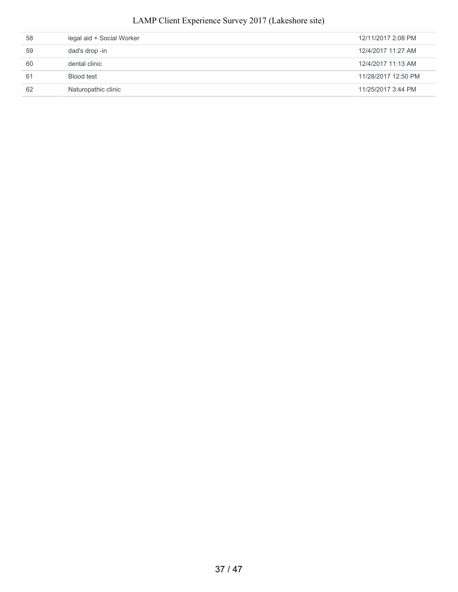| 62 | Naturopathic clinic       | 11/25/2017 3:44 PM  |
|----|---------------------------|---------------------|
| 61 | Blood test                | 11/28/2017 12:50 PM |
| 60 | dental clinic             | 12/4/2017 11:13 AM  |
| 59 | dad's drop -in            | 12/4/2017 11:27 AM  |
| 58 | legal aid + Social Worker | 12/11/2017 2:08 PM  |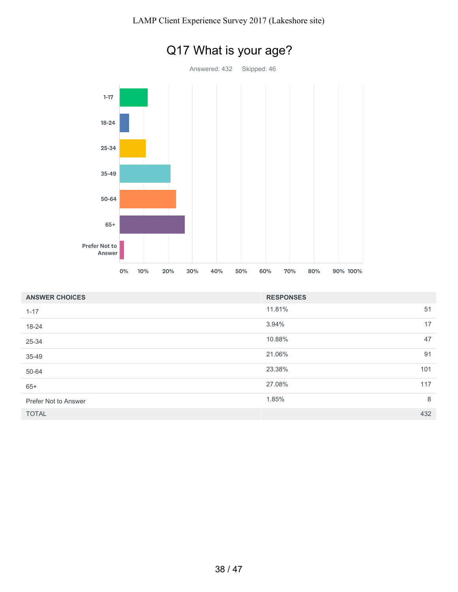

| <b>ANSWER CHOICES</b> | <b>RESPONSES</b> |     |
|-----------------------|------------------|-----|
| $1 - 17$              | 11.81%           | 51  |
| 18-24                 | 3.94%            | 17  |
| 25-34                 | 10.88%           | 47  |
| 35-49                 | 21.06%           | 91  |
| 50-64                 | 23.38%           | 101 |
| $65+$                 | 27.08%           | 117 |
| Prefer Not to Answer  | 1.85%            | 8   |
| <b>TOTAL</b>          |                  | 432 |

# Q17 What is your age?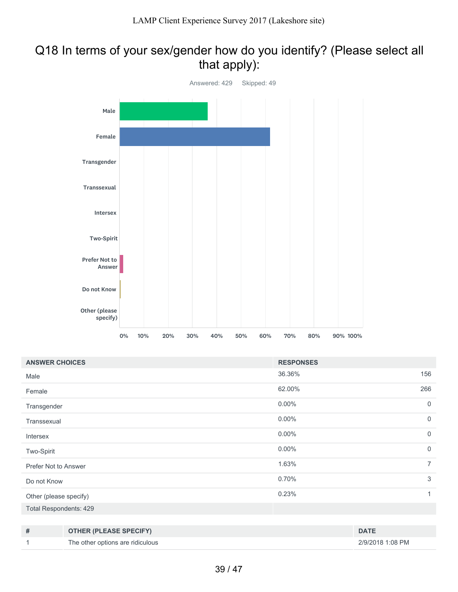### Q18 In terms of your sex/gender how do you identify? (Please select all that apply):



| <b>ANSWER CHOICES</b>  |                                  | <b>RESPONSES</b> |                  |
|------------------------|----------------------------------|------------------|------------------|
| Male                   |                                  | 36.36%           | 156              |
| Female                 |                                  | 62.00%           | 266              |
| Transgender            |                                  | $0.00\%$         | $\mathbf 0$      |
| Transsexual            |                                  | $0.00\%$         | $\mathbf 0$      |
| Intersex               |                                  | $0.00\%$         | $\mathbf 0$      |
| Two-Spirit             |                                  | $0.00\%$         | $\mathbf 0$      |
| Prefer Not to Answer   |                                  | 1.63%            | $\overline{7}$   |
| Do not Know            |                                  | 0.70%            | 3                |
| Other (please specify) |                                  | 0.23%            | 1                |
| Total Respondents: 429 |                                  |                  |                  |
|                        |                                  |                  |                  |
| #                      | <b>OTHER (PLEASE SPECIFY)</b>    |                  | <b>DATE</b>      |
| 1                      | The other options are ridiculous |                  | 2/9/2018 1:08 PM |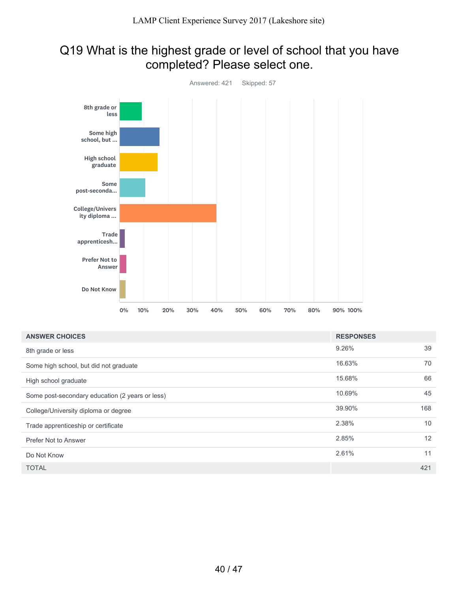### Q19 What is the highest grade or level of school that you have completed? Please select one.



| <b>ANSWER CHOICES</b>                           | <b>RESPONSES</b> |     |
|-------------------------------------------------|------------------|-----|
| 8th grade or less                               | 9.26%            | 39  |
| Some high school, but did not graduate          | 16.63%           | 70  |
| High school graduate                            | 15.68%           | 66  |
| Some post-secondary education (2 years or less) | 10.69%           | 45  |
| College/University diploma or degree            | 39.90%           | 168 |
| Trade apprenticeship or certificate             | 2.38%            | 10  |
| Prefer Not to Answer                            | 2.85%            | 12  |
| Do Not Know                                     | 2.61%            | 11  |
| <b>TOTAL</b>                                    |                  | 421 |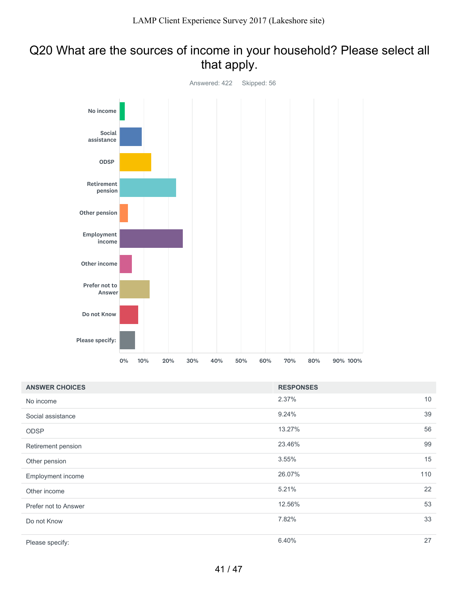## Q20 What are the sources of income in your household? Please select all that apply.



| <b>ANSWER CHOICES</b> | <b>RESPONSES</b> |     |
|-----------------------|------------------|-----|
| No income             | 2.37%            | 10  |
| Social assistance     | 9.24%            | 39  |
| <b>ODSP</b>           | 13.27%           | 56  |
| Retirement pension    | 23.46%           | 99  |
| Other pension         | 3.55%            | 15  |
| Employment income     | 26.07%           | 110 |
| Other income          | 5.21%            | 22  |
| Prefer not to Answer  | 12.56%           | 53  |
| Do not Know           | 7.82%            | 33  |
| Please specify:       | 6.40%            | 27  |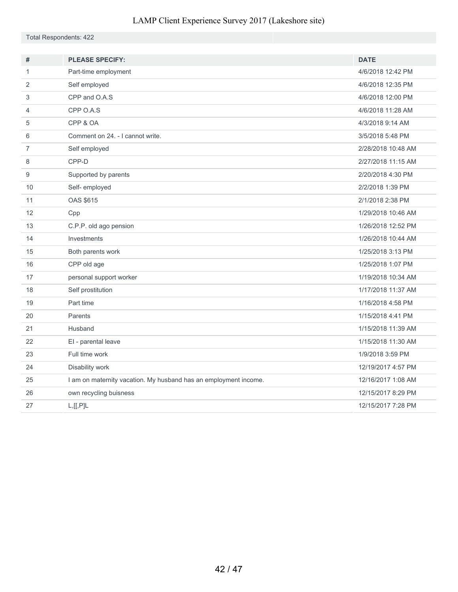Total Respondents: 422

| #              | <b>PLEASE SPECIFY:</b>                                           | <b>DATE</b>        |
|----------------|------------------------------------------------------------------|--------------------|
| 1              | Part-time employment                                             | 4/6/2018 12:42 PM  |
| 2              | Self employed                                                    | 4/6/2018 12:35 PM  |
| 3              | CPP and O.A.S                                                    | 4/6/2018 12:00 PM  |
| 4              | CPP O.A.S                                                        | 4/6/2018 11:28 AM  |
| 5              | CPP & OA                                                         | 4/3/2018 9:14 AM   |
| 6              | Comment on 24. - I cannot write.                                 | 3/5/2018 5:48 PM   |
| $\overline{7}$ | Self employed                                                    | 2/28/2018 10:48 AM |
| 8              | CPP-D                                                            | 2/27/2018 11:15 AM |
| 9              | Supported by parents                                             | 2/20/2018 4:30 PM  |
| 10             | Self-employed                                                    | 2/2/2018 1:39 PM   |
| 11             | <b>OAS \$615</b>                                                 | 2/1/2018 2:38 PM   |
| 12             | Cpp                                                              | 1/29/2018 10:46 AM |
| 13             | C.P.P. old ago pension                                           | 1/26/2018 12:52 PM |
| 14             | Investments                                                      | 1/26/2018 10:44 AM |
| 15             | Both parents work                                                | 1/25/2018 3:13 PM  |
| 16             | CPP old age                                                      | 1/25/2018 1:07 PM  |
| 17             | personal support worker                                          | 1/19/2018 10:34 AM |
| 18             | Self prostitution                                                | 1/17/2018 11:37 AM |
| 19             | Part time                                                        | 1/16/2018 4:58 PM  |
| 20             | Parents                                                          | 1/15/2018 4:41 PM  |
| 21             | Husband                                                          | 1/15/2018 11:39 AM |
| 22             | El - parental leave                                              | 1/15/2018 11:30 AM |
| 23             | Full time work                                                   | 1/9/2018 3:59 PM   |
| 24             | Disability work                                                  | 12/19/2017 4:57 PM |
| 25             | I am on maternity vacation. My husband has an employment income. | 12/16/2017 1:08 AM |
| 26             | own recycling buisness                                           | 12/15/2017 8:29 PM |
| 27             | L, [[, P]L                                                       | 12/15/2017 7:28 PM |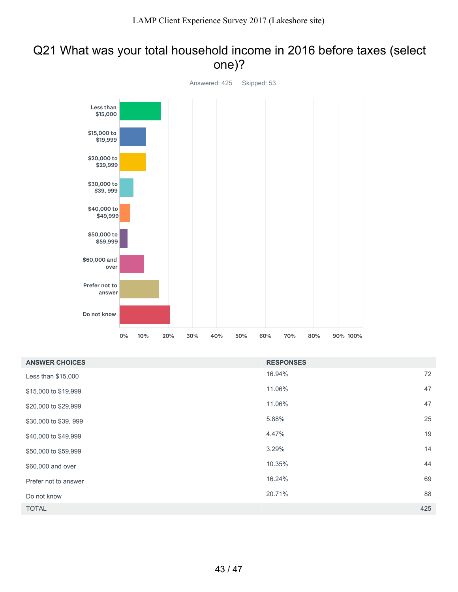### Q21 What was your total household income in 2016 before taxes (select one)?



| <b>ANSWER CHOICES</b> | <b>RESPONSES</b> |     |
|-----------------------|------------------|-----|
| Less than \$15,000    | 16.94%           | 72  |
| \$15,000 to \$19,999  | 11.06%           | 47  |
| \$20,000 to \$29,999  | 11.06%           | 47  |
| \$30,000 to \$39, 999 | 5.88%            | 25  |
| \$40,000 to \$49,999  | 4.47%            | 19  |
| \$50,000 to \$59,999  | 3.29%            | 14  |
| \$60,000 and over     | 10.35%           | 44  |
| Prefer not to answer  | 16.24%           | 69  |
| Do not know           | 20.71%           | 88  |
| <b>TOTAL</b>          |                  | 425 |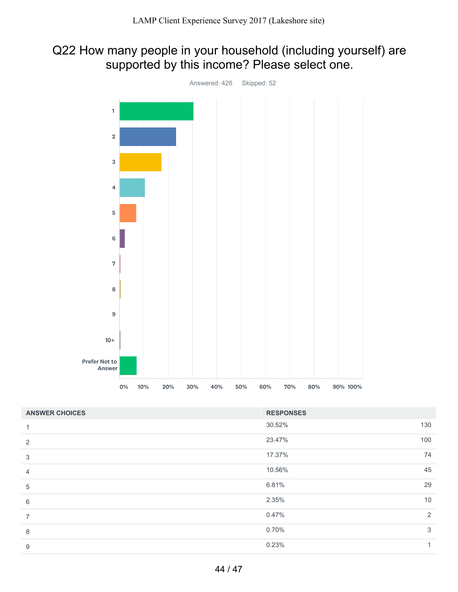## Q22 How many people in your household (including yourself) are supported by this income? Please select one.



| <b>ANSWER CHOICES</b> | <b>RESPONSES</b> |     |
|-----------------------|------------------|-----|
| 1                     | 30.52%           | 130 |
| 2                     | 23.47%           | 100 |
| 3                     | 17.37%           | 74  |
| $\overline{4}$        | 10.56%           | 45  |
| 5                     | 6.81%            | 29  |
| 6                     | 2.35%            | 10  |
| $\overline{7}$        | 0.47%            | 2   |
| 8                     | 0.70%            | 3   |
| 9                     | 0.23%            | 1   |
|                       |                  |     |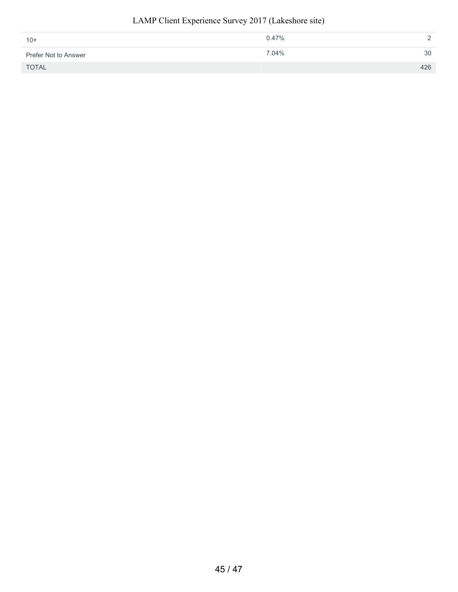#### 0.47% 2 7.04% 30 TOTAL 426 10+ Prefer Not to Answer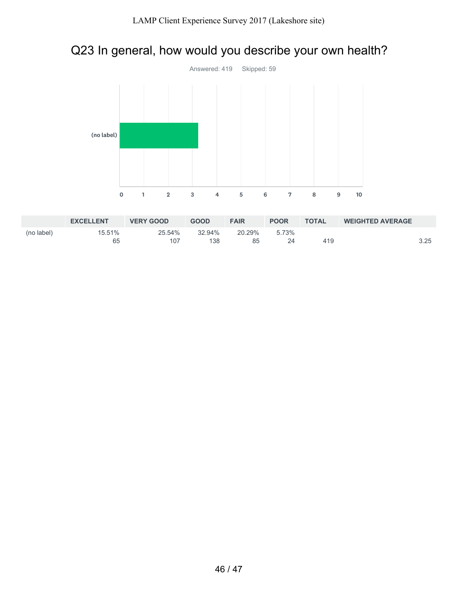## Q23 In general, how would you describe your own health?



|            | <b>EXCELLENT</b> | <b>VERY GOOD</b> | <b>GOOD</b> | <b>FAIR</b> | <b>POOR</b> | <b>TOTAL</b> | <b>WEIGHTED AVERAGE</b> |      |
|------------|------------------|------------------|-------------|-------------|-------------|--------------|-------------------------|------|
| (no label) | 15.51%           | 25.54%           | 32.94%      | 20.29%      | 5.73%       |              |                         |      |
|            | 65               | 107              | 138         | 85          |             | 419          |                         | 3.25 |